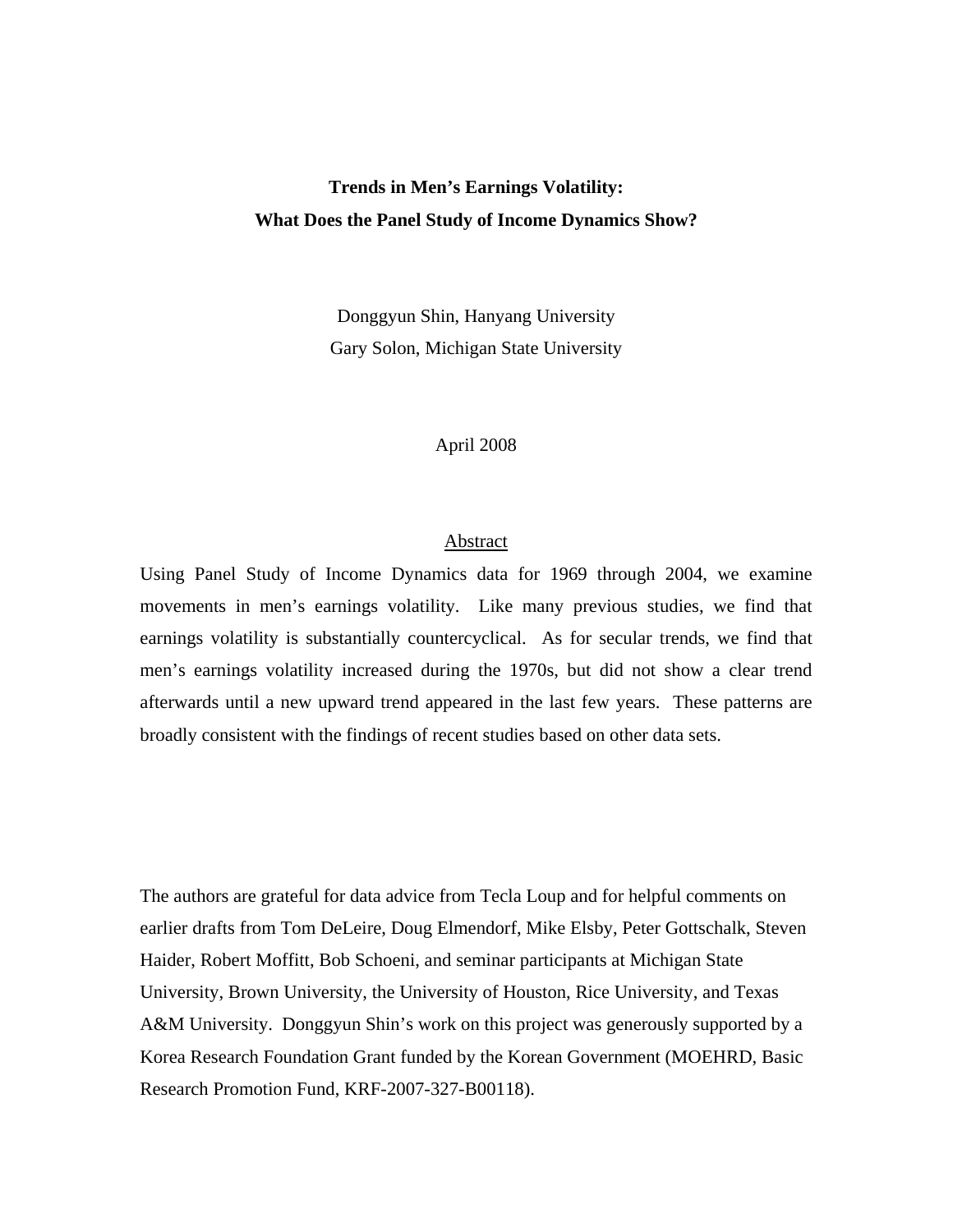# **Trends in Men's Earnings Volatility: What Does the Panel Study of Income Dynamics Show?**

Donggyun Shin, Hanyang University Gary Solon, Michigan State University

# April 2008

# Abstract

Using Panel Study of Income Dynamics data for 1969 through 2004, we examine movements in men's earnings volatility. Like many previous studies, we find that earnings volatility is substantially countercyclical. As for secular trends, we find that men's earnings volatility increased during the 1970s, but did not show a clear trend afterwards until a new upward trend appeared in the last few years. These patterns are broadly consistent with the findings of recent studies based on other data sets.

The authors are grateful for data advice from Tecla Loup and for helpful comments on earlier drafts from Tom DeLeire, Doug Elmendorf, Mike Elsby, Peter Gottschalk, Steven Haider, Robert Moffitt, Bob Schoeni, and seminar participants at Michigan State University, Brown University, the University of Houston, Rice University, and Texas A&M University. Donggyun Shin's work on this project was generously supported by a Korea Research Foundation Grant funded by the Korean Government (MOEHRD, Basic Research Promotion Fund, KRF-2007-327-B00118).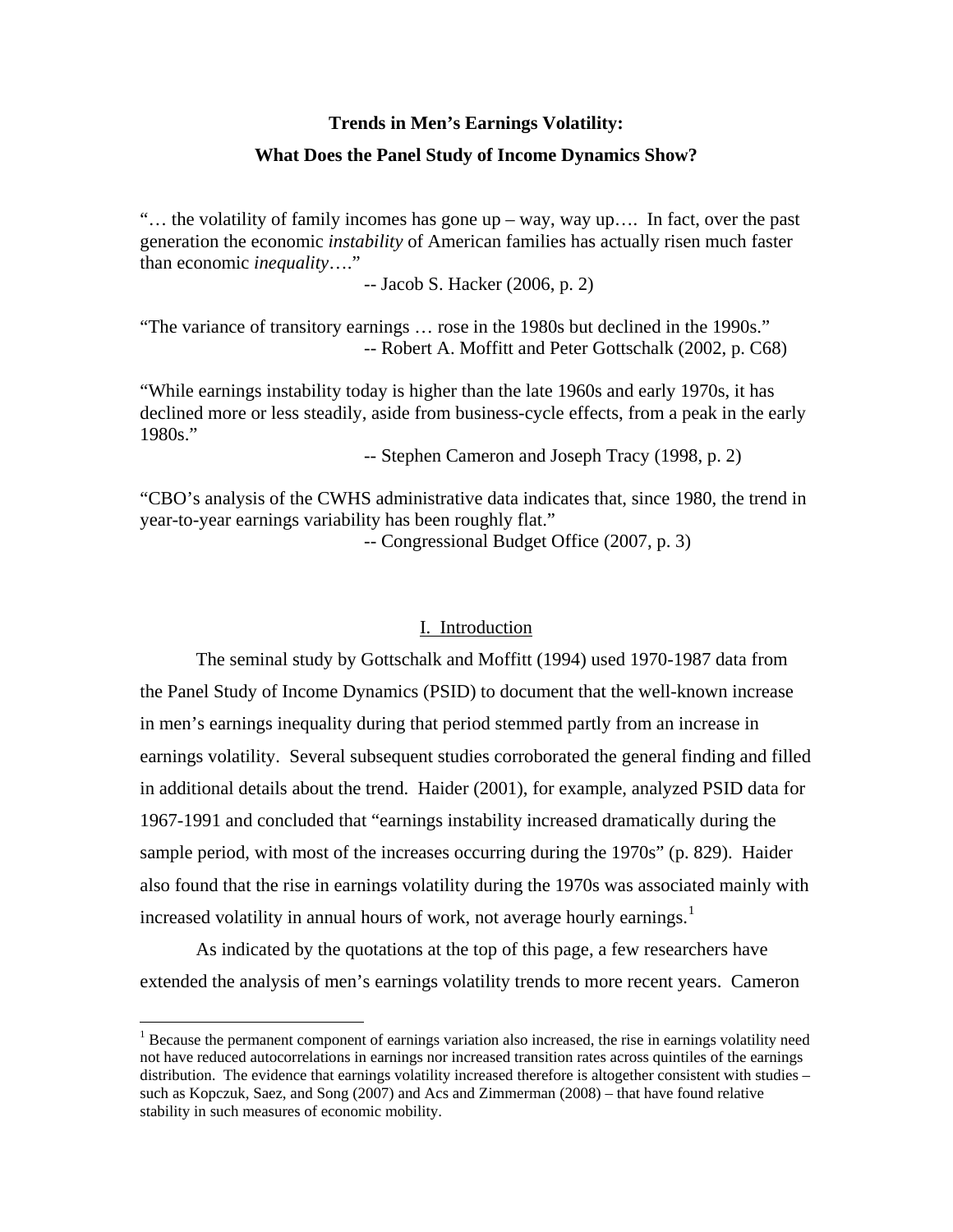#### **Trends in Men's Earnings Volatility:**

## **What Does the Panel Study of Income Dynamics Show?**

"… the volatility of family incomes has gone up – way, way up…. In fact, over the past generation the economic *instability* of American families has actually risen much faster than economic *inequality*…."

-- Jacob S. Hacker (2006, p. 2)

"The variance of transitory earnings … rose in the 1980s but declined in the 1990s." -- Robert A. Moffitt and Peter Gottschalk (2002, p. C68)

"While earnings instability today is higher than the late 1960s and early 1970s, it has declined more or less steadily, aside from business-cycle effects, from a peak in the early 1980s."

-- Stephen Cameron and Joseph Tracy (1998, p. 2)

"CBO's analysis of the CWHS administrative data indicates that, since 1980, the trend in year-to-year earnings variability has been roughly flat."

-- Congressional Budget Office (2007, p. 3)

# I. Introduction

 The seminal study by Gottschalk and Moffitt (1994) used 1970-1987 data from the Panel Study of Income Dynamics (PSID) to document that the well-known increase in men's earnings inequality during that period stemmed partly from an increase in earnings volatility. Several subsequent studies corroborated the general finding and filled in additional details about the trend. Haider (2001), for example, analyzed PSID data for 1967-1991 and concluded that "earnings instability increased dramatically during the sample period, with most of the increases occurring during the 1970s" (p. 829). Haider also found that the rise in earnings volatility during the 1970s was associated mainly with increased volatility in annual hours of work, not average hourly earnings.<sup>[1](#page-1-0)</sup>

 As indicated by the quotations at the top of this page, a few researchers have extended the analysis of men's earnings volatility trends to more recent years. Cameron

<span id="page-1-0"></span><sup>&</sup>lt;sup>1</sup> Because the permanent component of earnings variation also increased, the rise in earnings volatility need not have reduced autocorrelations in earnings nor increased transition rates across quintiles of the earnings distribution. The evidence that earnings volatility increased therefore is altogether consistent with studies – such as Kopczuk, Saez, and Song (2007) and Acs and Zimmerman (2008) – that have found relative stability in such measures of economic mobility.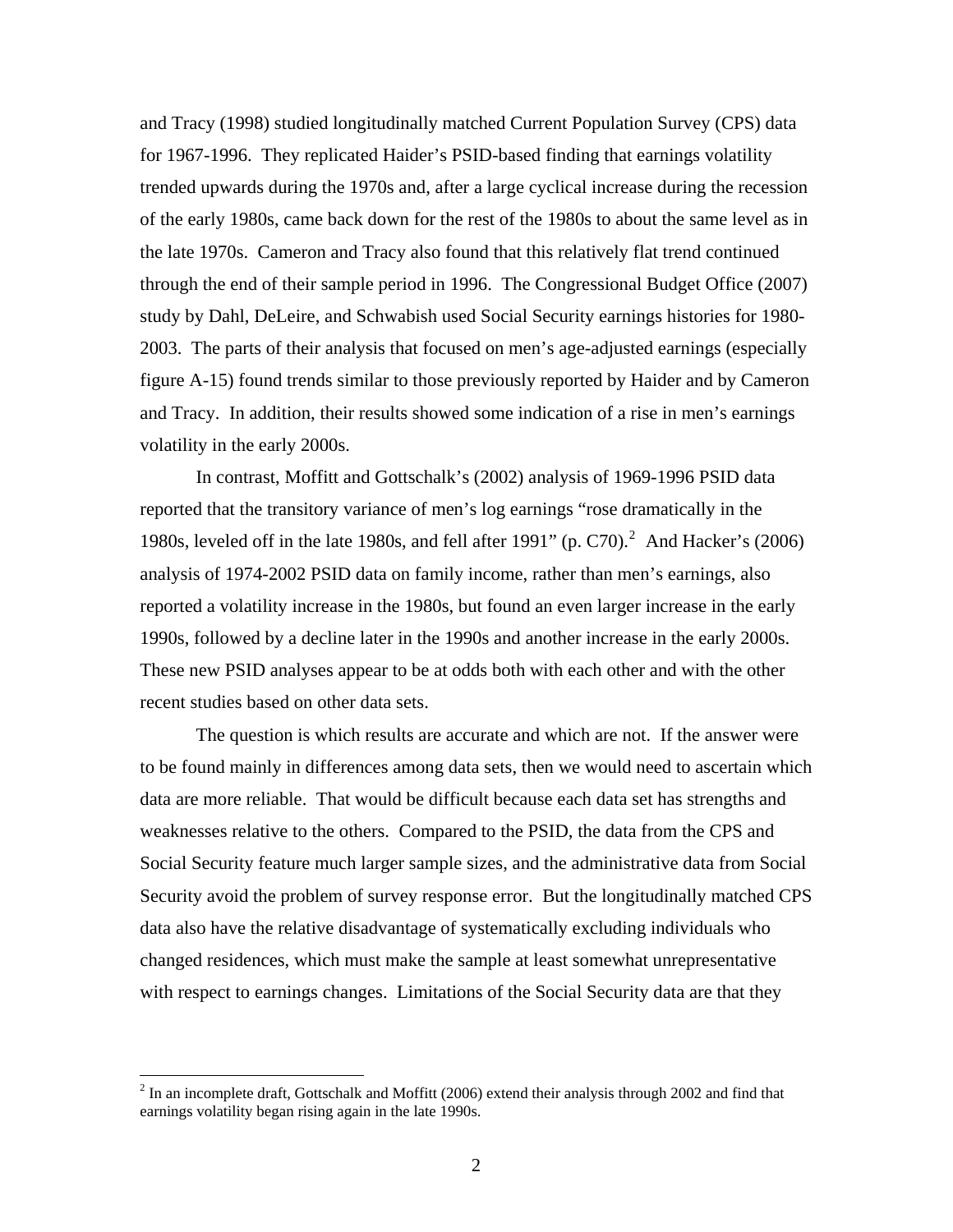and Tracy (1998) studied longitudinally matched Current Population Survey (CPS) data for 1967-1996. They replicated Haider's PSID-based finding that earnings volatility trended upwards during the 1970s and, after a large cyclical increase during the recession of the early 1980s, came back down for the rest of the 1980s to about the same level as in the late 1970s. Cameron and Tracy also found that this relatively flat trend continued through the end of their sample period in 1996. The Congressional Budget Office (2007) study by Dahl, DeLeire, and Schwabish used Social Security earnings histories for 1980- 2003. The parts of their analysis that focused on men's age-adjusted earnings (especially figure A-15) found trends similar to those previously reported by Haider and by Cameron and Tracy. In addition, their results showed some indication of a rise in men's earnings volatility in the early 2000s.

 In contrast, Moffitt and Gottschalk's (2002) analysis of 1969-1996 PSID data reported that the transitory variance of men's log earnings "rose dramatically in the 1980s, leveled off in the late 1980s, and fell after 1991" (p. C70).<sup>[2](#page-2-0)</sup> And Hacker's (2006) analysis of 1974-2002 PSID data on family income, rather than men's earnings, also reported a volatility increase in the 1980s, but found an even larger increase in the early 1990s, followed by a decline later in the 1990s and another increase in the early 2000s. These new PSID analyses appear to be at odds both with each other and with the other recent studies based on other data sets.

The question is which results are accurate and which are not. If the answer were to be found mainly in differences among data sets, then we would need to ascertain which data are more reliable. That would be difficult because each data set has strengths and weaknesses relative to the others. Compared to the PSID, the data from the CPS and Social Security feature much larger sample sizes, and the administrative data from Social Security avoid the problem of survey response error. But the longitudinally matched CPS data also have the relative disadvantage of systematically excluding individuals who changed residences, which must make the sample at least somewhat unrepresentative with respect to earnings changes. Limitations of the Social Security data are that they

<span id="page-2-0"></span> $2$  In an incomplete draft, Gottschalk and Moffitt (2006) extend their analysis through 2002 and find that earnings volatility began rising again in the late 1990s.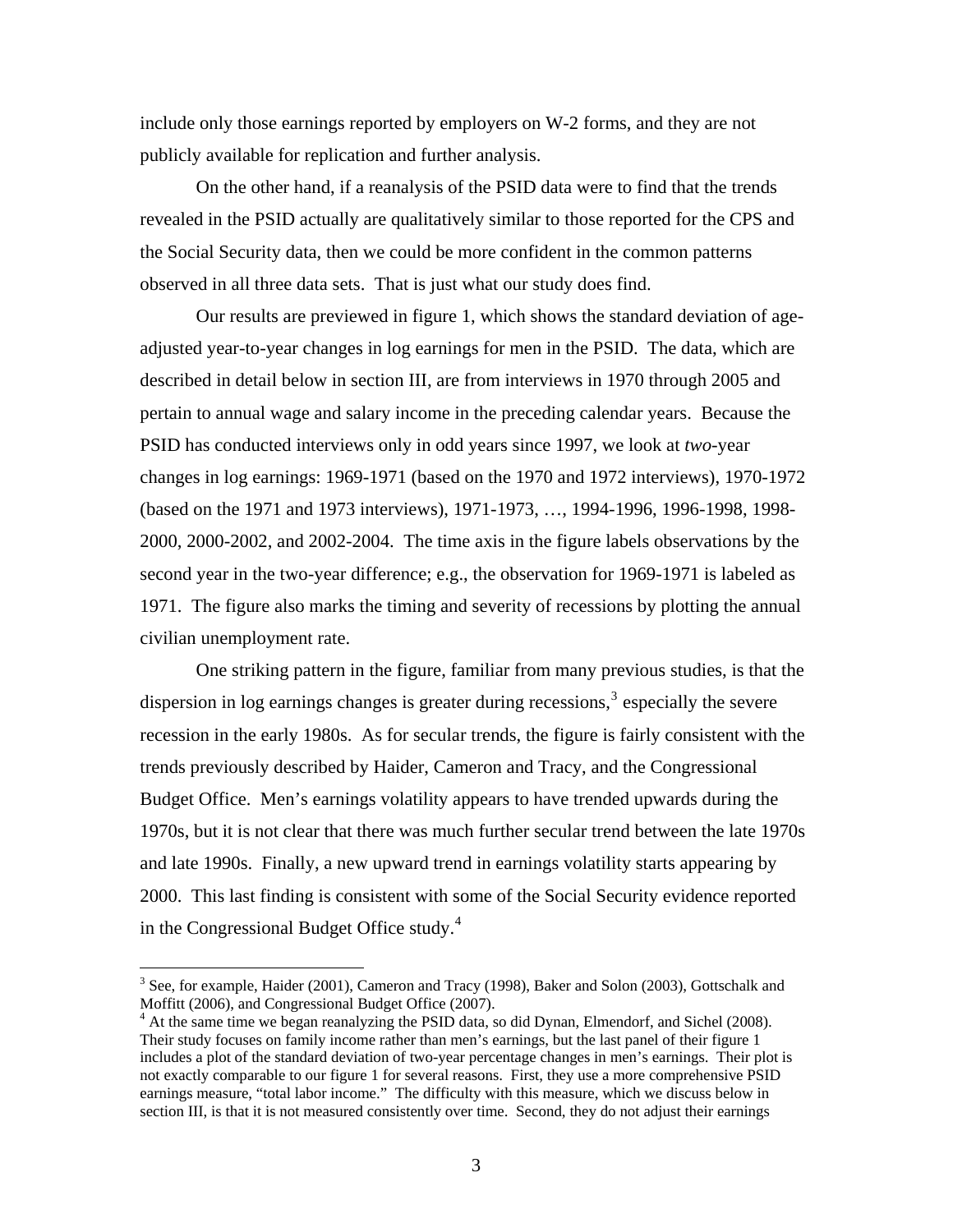<span id="page-3-0"></span>include only those earnings reported by employers on W-2 forms, and they are not publicly available for replication and further analysis.

On the other hand, if a reanalysis of the PSID data were to find that the trends revealed in the PSID actually are qualitatively similar to those reported for the CPS and the Social Security data, then we could be more confident in the common patterns observed in all three data sets. That is just what our study does find.

Our results are previewed in figure 1, which shows the standard deviation of ageadjusted year-to-year changes in log earnings for men in the PSID. The data, which are described in detail below in section III, are from interviews in 1970 through 2005 and pertain to annual wage and salary income in the preceding calendar years. Because the PSID has conducted interviews only in odd years since 1997, we look at *two*-year changes in log earnings: 1969-1971 (based on the 1970 and 1972 interviews), 1970-1972 (based on the 1971 and 1973 interviews), 1971-1973, …, 1994-1996, 1996-1998, 1998- 2000, 2000-2002, and 2002-2004. The time axis in the figure labels observations by the second year in the two-year difference; e.g., the observation for 1969-1971 is labeled as 1971. The figure also marks the timing and severity of recessions by plotting the annual civilian unemployment rate.

One striking pattern in the figure, familiar from many previous studies, is that the dispersion in log earnings changes is greater during recessions,<sup>[3](#page-3-0)</sup> especially the severe recession in the early 1980s. As for secular trends, the figure is fairly consistent with the trends previously described by Haider, Cameron and Tracy, and the Congressional Budget Office. Men's earnings volatility appears to have trended upwards during the 1970s, but it is not clear that there was much further secular trend between the late 1970s and late 1990s. Finally, a new upward trend in earnings volatility starts appearing by 2000. This last finding is consistent with some of the Social Security evidence reported in the Congressional Budget Office study. $4$ 

 $3$  See, for example, Haider (2001), Cameron and Tracy (1998), Baker and Solon (2003), Gottschalk and Moffitt (2006), and Congressional Budget Office (2007).

<sup>&</sup>lt;sup>4</sup> At the same time we began reanalyzing the PSID data, so did Dynan, Elmendorf, and Sichel (2008). Their study focuses on family income rather than men's earnings, but the last panel of their figure 1 includes a plot of the standard deviation of two-year percentage changes in men's earnings. Their plot is not exactly comparable to our figure 1 for several reasons. First, they use a more comprehensive PSID earnings measure, "total labor income." The difficulty with this measure, which we discuss below in section III, is that it is not measured consistently over time. Second, they do not adjust their earnings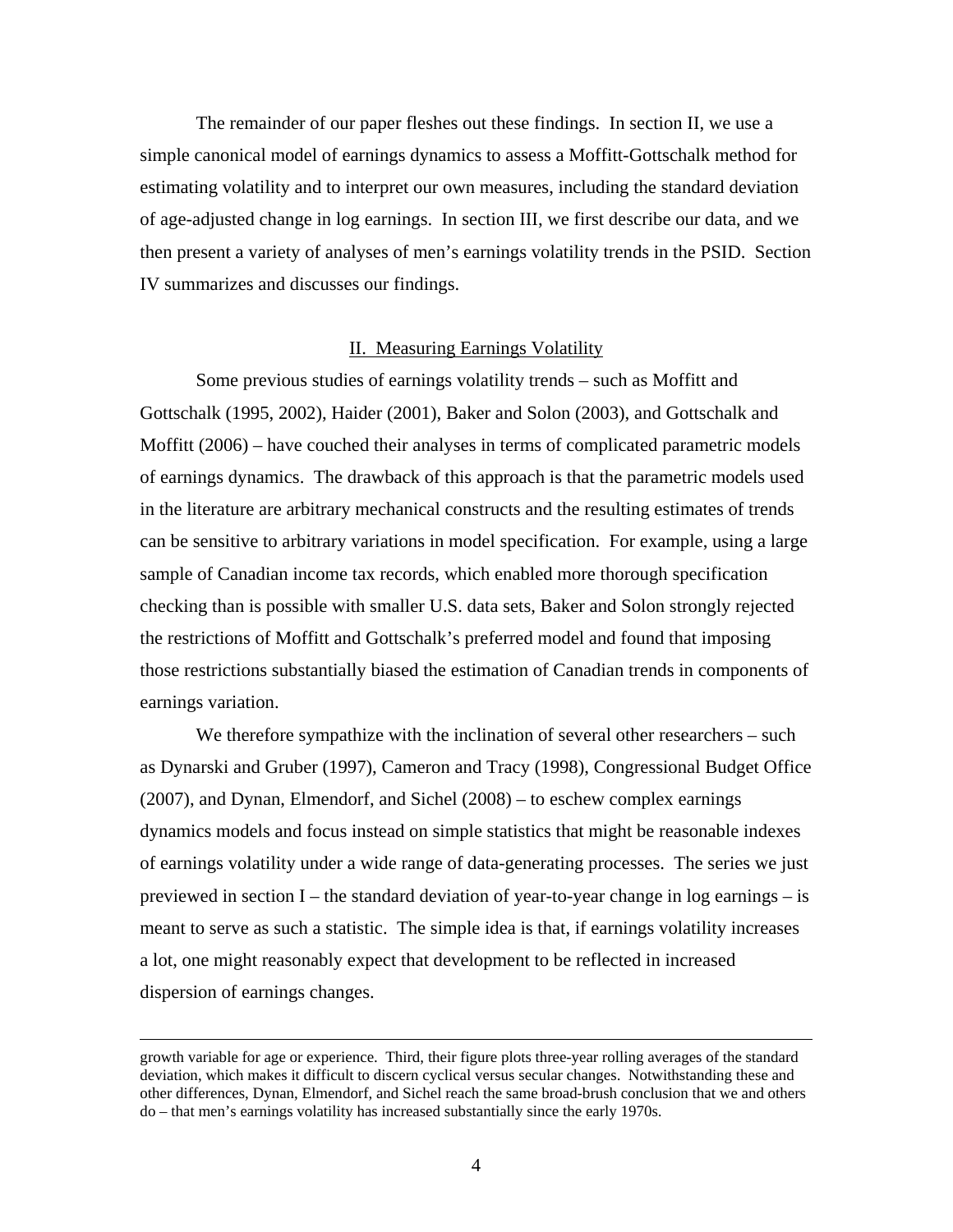The remainder of our paper fleshes out these findings. In section II, we use a simple canonical model of earnings dynamics to assess a Moffitt-Gottschalk method for estimating volatility and to interpret our own measures, including the standard deviation of age-adjusted change in log earnings. In section III, we first describe our data, and we then present a variety of analyses of men's earnings volatility trends in the PSID. Section IV summarizes and discusses our findings.

#### II. Measuring Earnings Volatility

 Some previous studies of earnings volatility trends – such as Moffitt and Gottschalk (1995, 2002), Haider (2001), Baker and Solon (2003), and Gottschalk and Moffitt (2006) – have couched their analyses in terms of complicated parametric models of earnings dynamics. The drawback of this approach is that the parametric models used in the literature are arbitrary mechanical constructs and the resulting estimates of trends can be sensitive to arbitrary variations in model specification. For example, using a large sample of Canadian income tax records, which enabled more thorough specification checking than is possible with smaller U.S. data sets, Baker and Solon strongly rejected the restrictions of Moffitt and Gottschalk's preferred model and found that imposing those restrictions substantially biased the estimation of Canadian trends in components of earnings variation.

We therefore sympathize with the inclination of several other researchers – such as Dynarski and Gruber (1997), Cameron and Tracy (1998), Congressional Budget Office (2007), and Dynan, Elmendorf, and Sichel (2008) – to eschew complex earnings dynamics models and focus instead on simple statistics that might be reasonable indexes of earnings volatility under a wide range of data-generating processes. The series we just previewed in section  $I$  – the standard deviation of year-to-year change in log earnings – is meant to serve as such a statistic. The simple idea is that, if earnings volatility increases a lot, one might reasonably expect that development to be reflected in increased dispersion of earnings changes.

growth variable for age or experience. Third, their figure plots three-year rolling averages of the standard deviation, which makes it difficult to discern cyclical versus secular changes. Notwithstanding these and other differences, Dynan, Elmendorf, and Sichel reach the same broad-brush conclusion that we and others do – that men's earnings volatility has increased substantially since the early 1970s.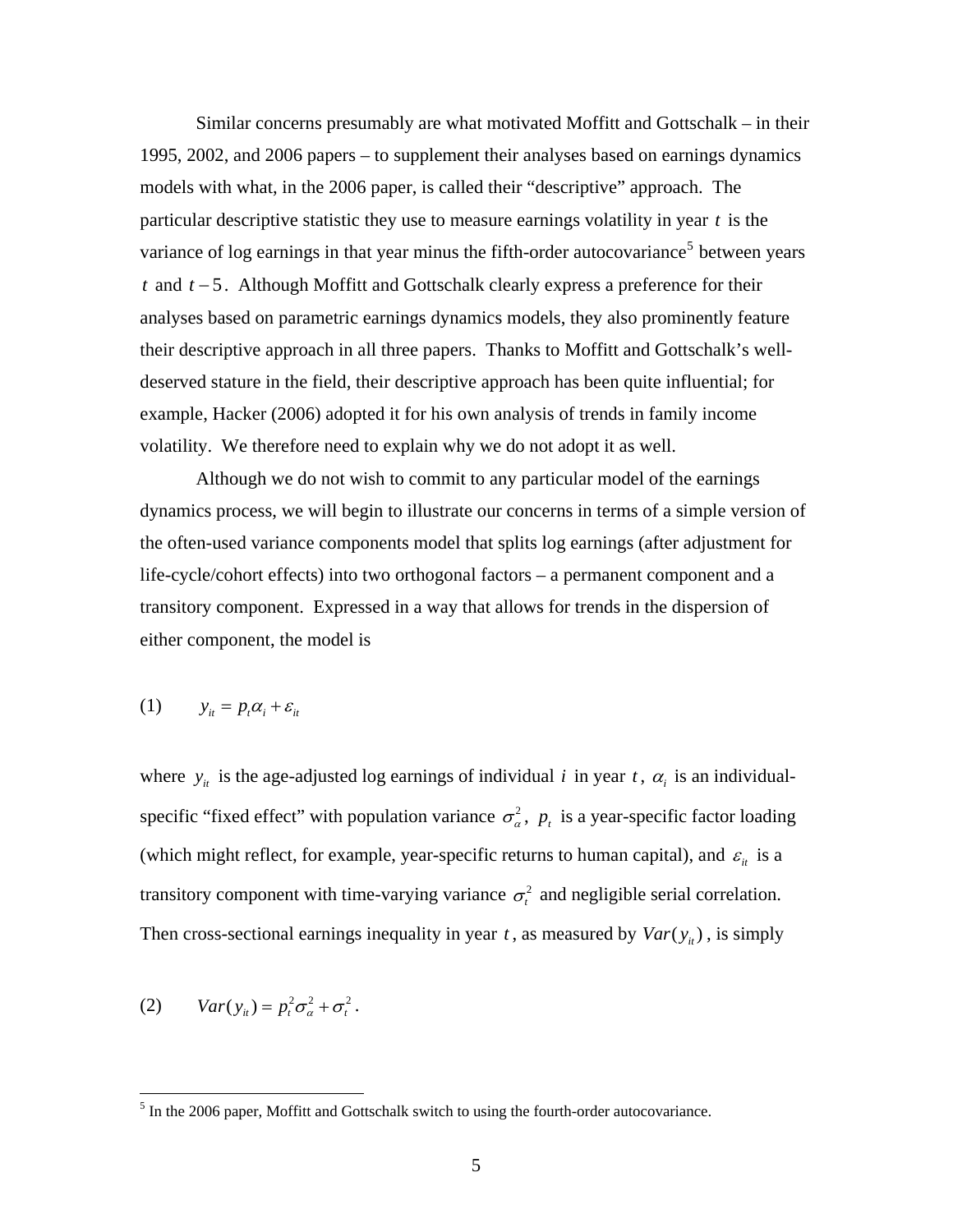<span id="page-5-0"></span>Similar concerns presumably are what motivated Moffitt and Gottschalk – in their 1995, 2002, and 2006 papers – to supplement their analyses based on earnings dynamics models with what, in the 2006 paper, is called their "descriptive" approach. The particular descriptive statistic they use to measure earnings volatility in year *t* is the variance of log earnings in that year minus the fifth-order autocovariance<sup>[5](#page-5-0)</sup> between years *t* and  $t$  − 5. Although Moffitt and Gottschalk clearly express a preference for their analyses based on parametric earnings dynamics models, they also prominently feature their descriptive approach in all three papers. Thanks to Moffitt and Gottschalk's welldeserved stature in the field, their descriptive approach has been quite influential; for example, Hacker (2006) adopted it for his own analysis of trends in family income volatility. We therefore need to explain why we do not adopt it as well.

Although we do not wish to commit to any particular model of the earnings dynamics process, we will begin to illustrate our concerns in terms of a simple version of the often-used variance components model that splits log earnings (after adjustment for life-cycle/cohort effects) into two orthogonal factors – a permanent component and a transitory component. Expressed in a way that allows for trends in the dispersion of either component, the model is

$$
(1) \t y_{it} = p_t \alpha_i + \varepsilon_{it}
$$

where  $y_i$  is the age-adjusted log earnings of individual *i* in year *t*,  $\alpha_i$  is an individualspecific "fixed effect" with population variance  $\sigma_{\alpha}^2$ ,  $p_t$  is a year-specific factor loading (which might reflect, for example, year-specific returns to human capital), and  $\varepsilon$ <sub>it</sub> is a transitory component with time-varying variance  $\sigma_t^2$  and negligible serial correlation. Then cross-sectional earnings inequality in year  $t$ , as measured by  $Var(y_{it})$ , is simply

$$
(2) \tVar(y_{it}) = p_t^2 \sigma_{\alpha}^2 + \sigma_t^2.
$$

<sup>&</sup>lt;sup>5</sup> In the 2006 paper, Moffitt and Gottschalk switch to using the fourth-order autocovariance.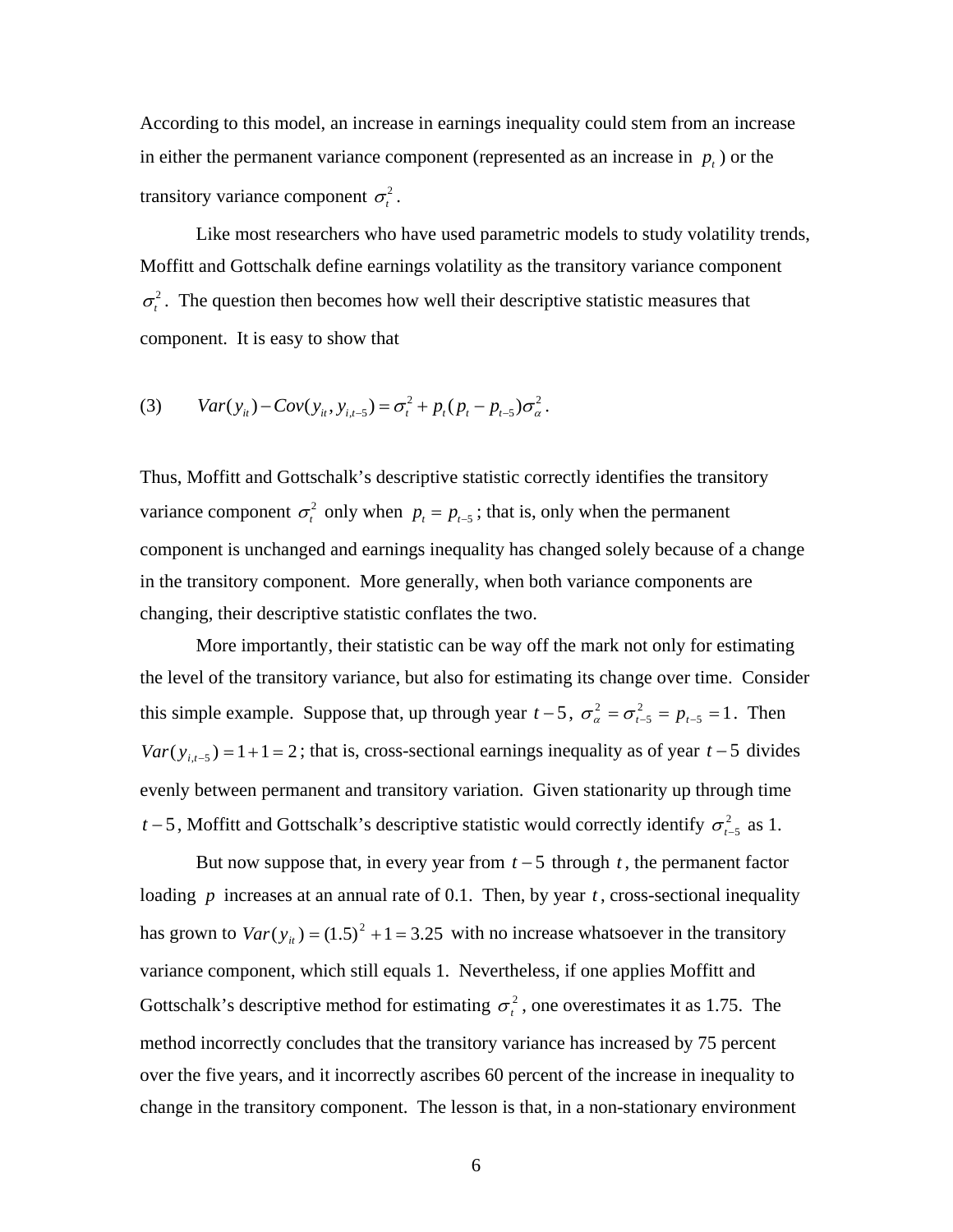According to this model, an increase in earnings inequality could stem from an increase in either the permanent variance component (represented as an increase in  $p_t$ ) or the transitory variance component  $\sigma_t^2$ .

Like most researchers who have used parametric models to study volatility trends, Moffitt and Gottschalk define earnings volatility as the transitory variance component  $\sigma^2$ . The question then becomes how well their descriptive statistic measures that component. It is easy to show that

(3) 
$$
Var(y_{it}) - Cov(y_{it}, y_{i,t-5}) = \sigma_t^2 + p_t (p_t - p_{t-5}) \sigma_a^2
$$
.

Thus, Moffitt and Gottschalk's descriptive statistic correctly identifies the transitory variance component  $\sigma_r^2$  only when  $p_t = p_{t-5}$ ; that is, only when the permanent component is unchanged and earnings inequality has changed solely because of a change in the transitory component. More generally, when both variance components are changing, their descriptive statistic conflates the two.

More importantly, their statistic can be way off the mark not only for estimating the level of the transitory variance, but also for estimating its change over time. Consider this simple example. Suppose that, up through year  $t-5$ ,  $\sigma_{\alpha}^2 = \sigma_{t-5}^2 = p_{t-5} = 1$ . Then  $Var(y_{i,t-5}) = 1+1=2$ ; that is, cross-sectional earnings inequality as of year  $t-5$  divides evenly between permanent and transitory variation. Given stationarity up through time *t* − 5, Moffitt and Gottschalk's descriptive statistic would correctly identify  $\sigma_{t-5}^2$  as 1.  $\sigma_{\alpha}^2 = \sigma_{t-5}^2 = p_{t-5}$ 

But now suppose that, in every year from  $t - 5$  through  $t$ , the permanent factor loading  $p$  increases at an annual rate of 0.1. Then, by year  $t$ , cross-sectional inequality has grown to  $Var(y_{ii}) = (1.5)^2 + 1 = 3.25$  with no increase whatsoever in the transitory variance component, which still equals 1. Nevertheless, if one applies Moffitt and Gottschalk's descriptive method for estimating  $\sigma_t^2$ , one overestimates it as 1.75. The method incorrectly concludes that the transitory variance has increased by 75 percent over the five years, and it incorrectly ascribes 60 percent of the increase in inequality to change in the transitory component. The lesson is that, in a non-stationary environment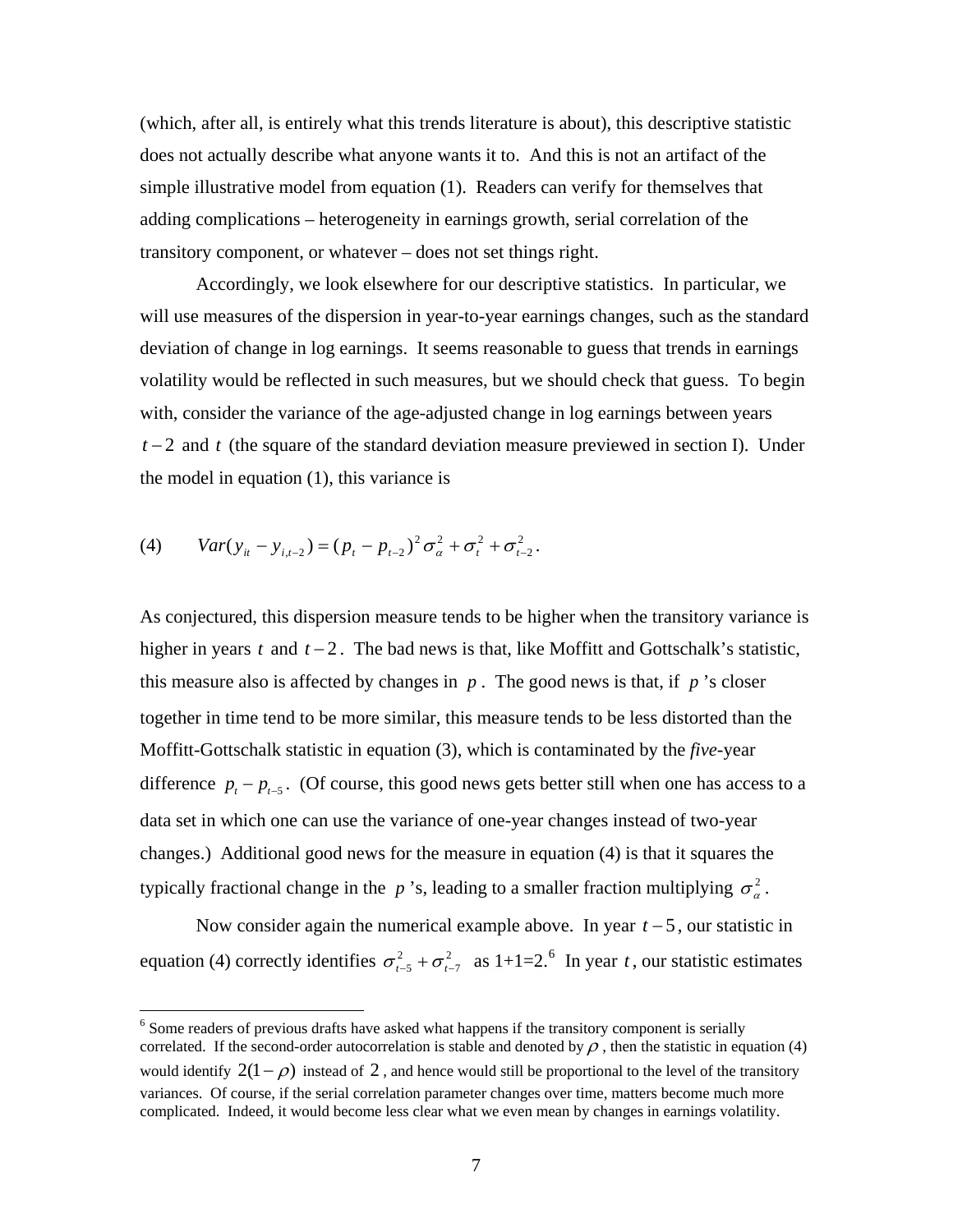<span id="page-7-0"></span>(which, after all, is entirely what this trends literature is about), this descriptive statistic does not actually describe what anyone wants it to. And this is not an artifact of the simple illustrative model from equation (1). Readers can verify for themselves that adding complications – heterogeneity in earnings growth, serial correlation of the transitory component, or whatever – does not set things right.

Accordingly, we look elsewhere for our descriptive statistics. In particular, we will use measures of the dispersion in year-to-year earnings changes, such as the standard deviation of change in log earnings. It seems reasonable to guess that trends in earnings volatility would be reflected in such measures, but we should check that guess. To begin with, consider the variance of the age-adjusted change in log earnings between years *t* − 2 and *t* (the square of the standard deviation measure previewed in section I). Under the model in equation (1), this variance is

(4) 
$$
Var(y_{it} - y_{i,t-2}) = (p_t - p_{t-2})^2 \sigma_a^2 + \sigma_t^2 + \sigma_{t-2}^2
$$
.

As conjectured, this dispersion measure tends to be higher when the transitory variance is higher in years  $t$  and  $t - 2$ . The bad news is that, like Moffitt and Gottschalk's statistic, this measure also is affected by changes in  $p$ . The good news is that, if  $p$  's closer together in time tend to be more similar, this measure tends to be less distorted than the Moffitt-Gottschalk statistic in equation (3), which is contaminated by the *five*-year difference  $p_t - p_{t-5}$ . (Of course, this good news gets better still when one has access to a data set in which one can use the variance of one-year changes instead of two-year changes.) Additional good news for the measure in equation (4) is that it squares the typically fractional change in the *p* 's, leading to a smaller fraction multiplying  $\sigma_{a}^{2}$ .

 Now consider again the numerical example above. In year *t* − 5, our statistic in equation (4) correctly identifies  $\sigma_{t-5}^2 + \sigma_{t-7}^2$  as 1+1=2.  $\sigma_{t-5}^2 + \sigma_{t-7}^2$  as 1+1=2.<sup>[6](#page-7-0)</sup> In year *t*, our statistic estimates

<sup>&</sup>lt;sup>6</sup> Some readers of previous drafts have asked what happens if the transitory component is serially correlated. If the second-order autocorrelation is stable and denoted by  $\rho$ , then the statistic in equation (4) would identify  $2(1-\rho)$  instead of 2, and hence would still be proportional to the level of the transitory variances. Of course, if the serial correlation parameter changes over time, matters become much more complicated. Indeed, it would become less clear what we even mean by changes in earnings volatility.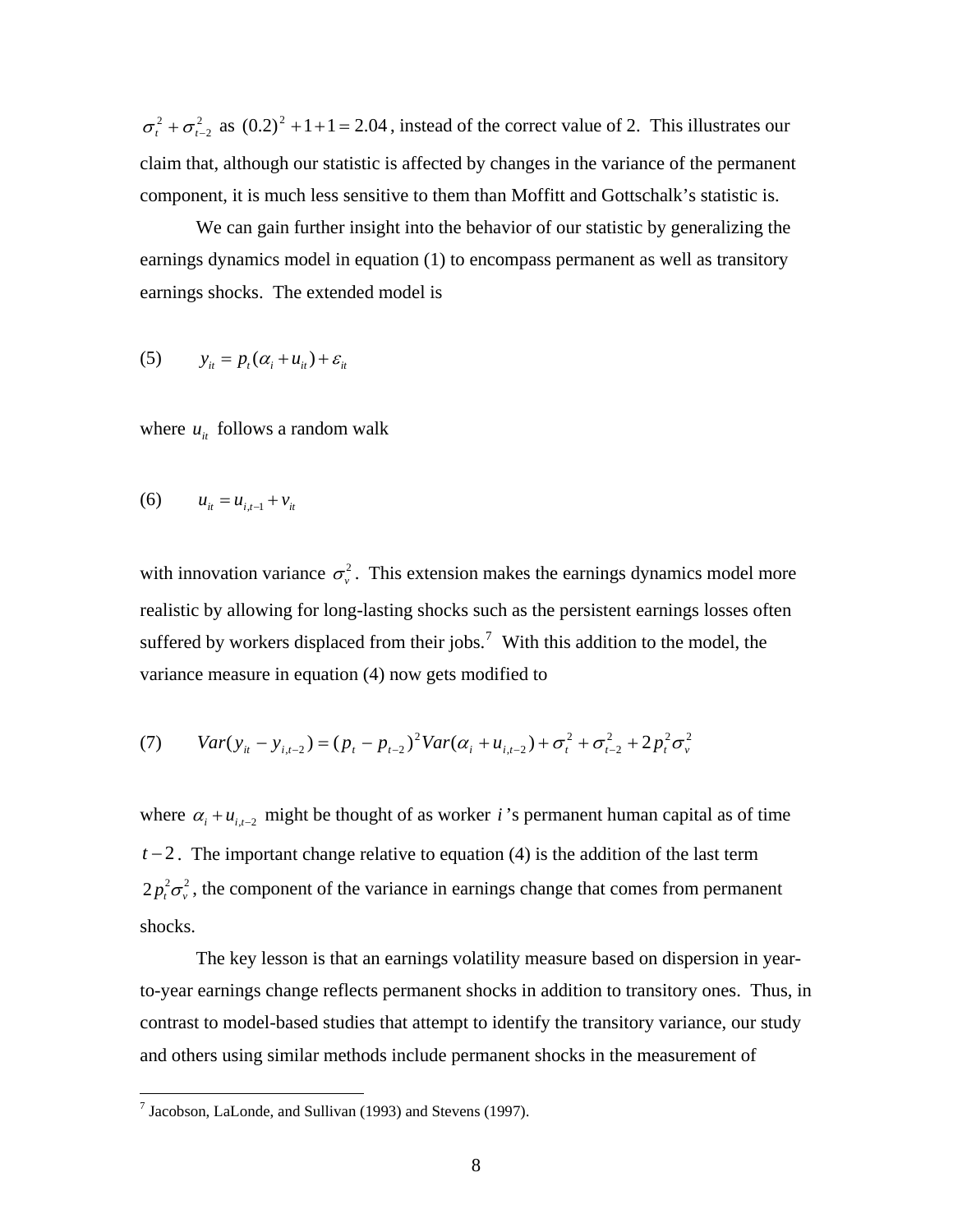<span id="page-8-0"></span>2  $\sigma_t^2 + \sigma_{t-2}^2$  as  $(0.2)^2 + 1 + 1 = 2.04$ , instead of the correct value of 2. This illustrates our claim that, although our statistic is affected by changes in the variance of the permanent component, it is much less sensitive to them than Moffitt and Gottschalk's statistic is.

 We can gain further insight into the behavior of our statistic by generalizing the earnings dynamics model in equation (1) to encompass permanent as well as transitory earnings shocks. The extended model is

$$
(5) \qquad y_{it} = p_t(\alpha_i + u_{it}) + \varepsilon_{it}
$$

where  $u_{it}$  follows a random walk

(6) 
$$
u_{it} = u_{i,t-1} + v_{it}
$$

with innovation variance  $\sigma_{\nu}^2$ . This extension makes the earnings dynamics model more realistic by allowing for long-lasting shocks such as the persistent earnings losses often suffered by workers displaced from their jobs.<sup>[7](#page-8-0)</sup> With this addition to the model, the variance measure in equation (4) now gets modified to

(7) 
$$
Var(y_{it} - y_{i,t-2}) = (p_t - p_{t-2})^2 Var(\alpha_i + u_{i,t-2}) + \sigma_t^2 + \sigma_{t-2}^2 + 2p_t^2 \sigma_v^2
$$

where  $\alpha_i + u_{i,i-2}$  might be thought of as worker *i*'s permanent human capital as of time  $t-2$ . The important change relative to equation (4) is the addition of the last term  $2 p_t^2 \sigma_v^2$ , the component of the variance in earnings change that comes from permanent shocks.

The key lesson is that an earnings volatility measure based on dispersion in yearto-year earnings change reflects permanent shocks in addition to transitory ones. Thus, in contrast to model-based studies that attempt to identify the transitory variance, our study and others using similar methods include permanent shocks in the measurement of

 7 Jacobson, LaLonde, and Sullivan (1993) and Stevens (1997).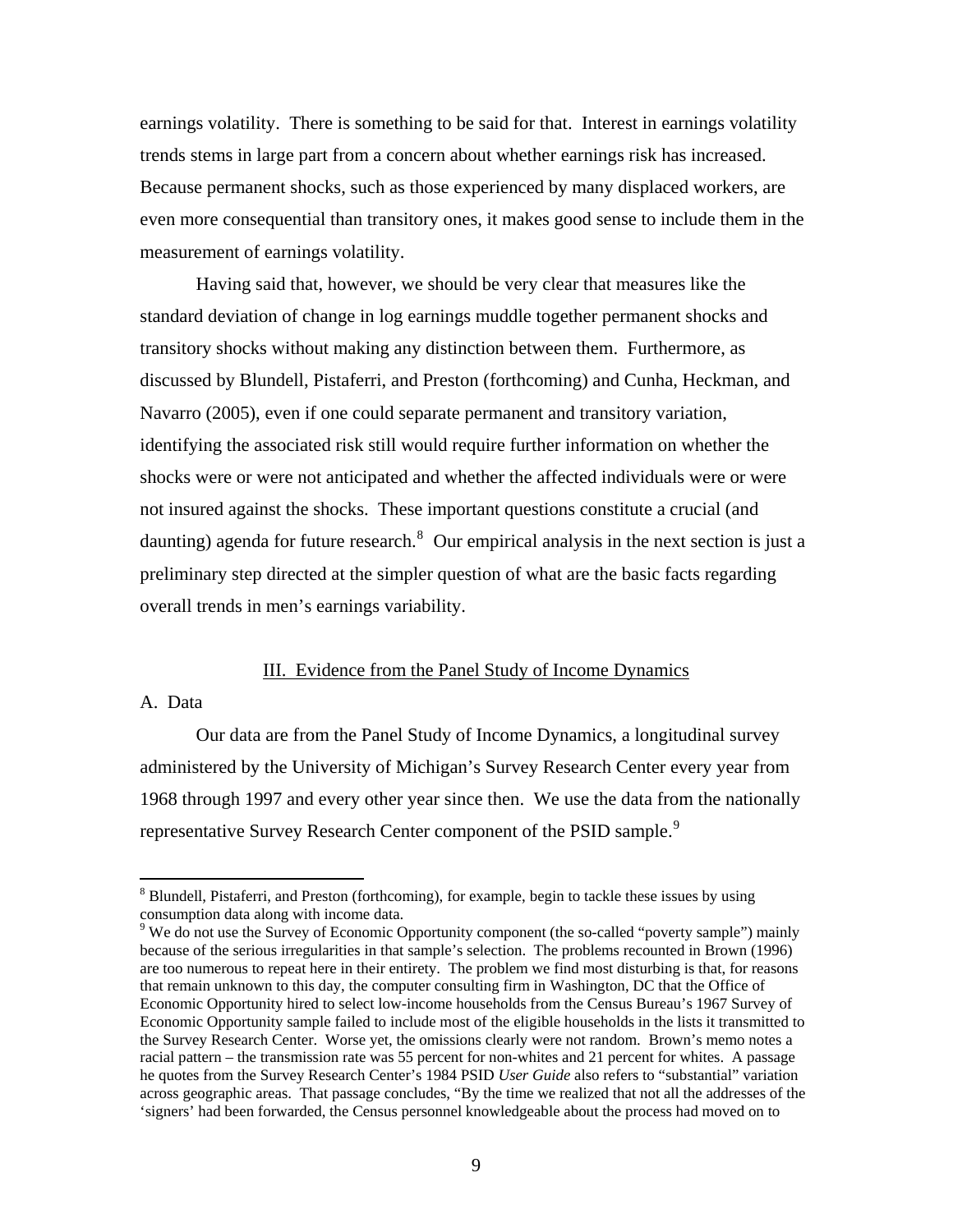<span id="page-9-0"></span>earnings volatility. There is something to be said for that. Interest in earnings volatility trends stems in large part from a concern about whether earnings risk has increased. Because permanent shocks, such as those experienced by many displaced workers, are even more consequential than transitory ones, it makes good sense to include them in the measurement of earnings volatility.

 Having said that, however, we should be very clear that measures like the standard deviation of change in log earnings muddle together permanent shocks and transitory shocks without making any distinction between them. Furthermore, as discussed by Blundell, Pistaferri, and Preston (forthcoming) and Cunha, Heckman, and Navarro (2005), even if one could separate permanent and transitory variation, identifying the associated risk still would require further information on whether the shocks were or were not anticipated and whether the affected individuals were or were not insured against the shocks. These important questions constitute a crucial (and daunting) agenda for future research.<sup>[8](#page-9-0)</sup> Our empirical analysis in the next section is just a preliminary step directed at the simpler question of what are the basic facts regarding overall trends in men's earnings variability.

#### III. Evidence from the Panel Study of Income Dynamics

# A. Data

 $\overline{a}$ 

 Our data are from the Panel Study of Income Dynamics, a longitudinal survey administered by the University of Michigan's Survey Research Center every year from 1968 through 1997 and every other year since then. We use the data from the nationally representative Survey Research Center component of the PSID sample.<sup>[9](#page-9-0)</sup>

<sup>&</sup>lt;sup>8</sup> Blundell, Pistaferri, and Preston (forthcoming), for example, begin to tackle these issues by using consumption data along with income data.

<sup>&</sup>lt;sup>9</sup> We do not use the Survey of Economic Opportunity component (the so-called "poverty sample") mainly because of the serious irregularities in that sample's selection. The problems recounted in Brown (1996) are too numerous to repeat here in their entirety. The problem we find most disturbing is that, for reasons that remain unknown to this day, the computer consulting firm in Washington, DC that the Office of Economic Opportunity hired to select low-income households from the Census Bureau's 1967 Survey of Economic Opportunity sample failed to include most of the eligible households in the lists it transmitted to the Survey Research Center. Worse yet, the omissions clearly were not random. Brown's memo notes a racial pattern – the transmission rate was 55 percent for non-whites and 21 percent for whites. A passage he quotes from the Survey Research Center's 1984 PSID *User Guide* also refers to "substantial" variation across geographic areas. That passage concludes, "By the time we realized that not all the addresses of the 'signers' had been forwarded, the Census personnel knowledgeable about the process had moved on to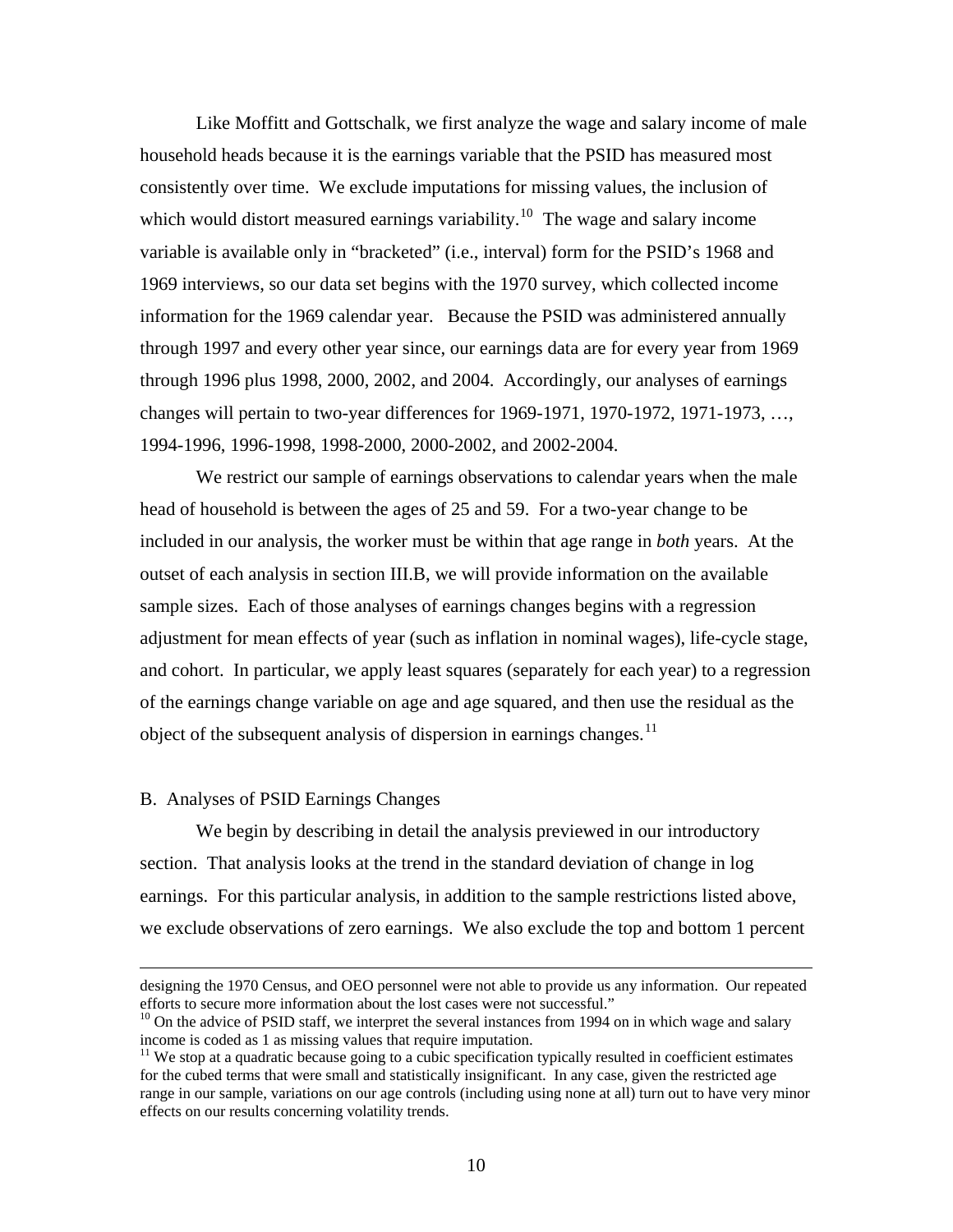<span id="page-10-0"></span> Like Moffitt and Gottschalk, we first analyze the wage and salary income of male household heads because it is the earnings variable that the PSID has measured most consistently over time. We exclude imputations for missing values, the inclusion of which would distort measured earnings variability.<sup>[10](#page-10-0)</sup> The wage and salary income variable is available only in "bracketed" (i.e., interval) form for the PSID's 1968 and 1969 interviews, so our data set begins with the 1970 survey, which collected income information for the 1969 calendar year. Because the PSID was administered annually through 1997 and every other year since, our earnings data are for every year from 1969 through 1996 plus 1998, 2000, 2002, and 2004. Accordingly, our analyses of earnings changes will pertain to two-year differences for 1969-1971, 1970-1972, 1971-1973, …, 1994-1996, 1996-1998, 1998-2000, 2000-2002, and 2002-2004.

 We restrict our sample of earnings observations to calendar years when the male head of household is between the ages of 25 and 59. For a two-year change to be included in our analysis, the worker must be within that age range in *both* years. At the outset of each analysis in section III.B, we will provide information on the available sample sizes. Each of those analyses of earnings changes begins with a regression adjustment for mean effects of year (such as inflation in nominal wages), life-cycle stage, and cohort. In particular, we apply least squares (separately for each year) to a regression of the earnings change variable on age and age squared, and then use the residual as the object of the subsequent analysis of dispersion in earnings changes.<sup>[11](#page-10-0)</sup>

# B. Analyses of PSID Earnings Changes

 $\overline{a}$ 

We begin by describing in detail the analysis previewed in our introductory section. That analysis looks at the trend in the standard deviation of change in log earnings. For this particular analysis, in addition to the sample restrictions listed above, we exclude observations of zero earnings. We also exclude the top and bottom 1 percent

designing the 1970 Census, and OEO personnel were not able to provide us any information. Our repeated efforts to secure more information about the lost cases were not successful."

 $10$  On the advice of PSID staff, we interpret the several instances from 1994 on in which wage and salary income is coded as 1 as missing values that require imputation.

 $11$  We stop at a quadratic because going to a cubic specification typically resulted in coefficient estimates for the cubed terms that were small and statistically insignificant. In any case, given the restricted age range in our sample, variations on our age controls (including using none at all) turn out to have very minor effects on our results concerning volatility trends.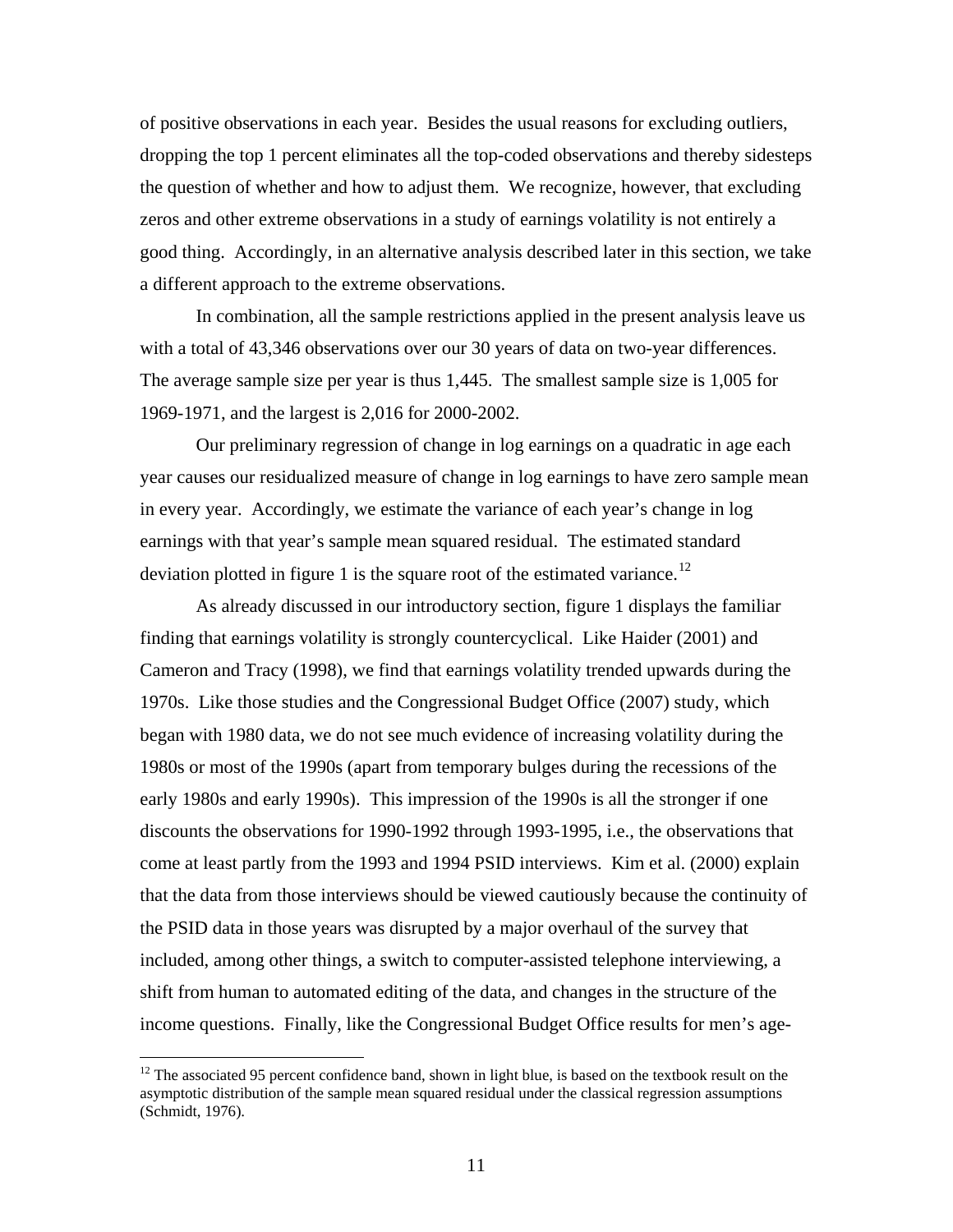<span id="page-11-0"></span>of positive observations in each year. Besides the usual reasons for excluding outliers, dropping the top 1 percent eliminates all the top-coded observations and thereby sidesteps the question of whether and how to adjust them. We recognize, however, that excluding zeros and other extreme observations in a study of earnings volatility is not entirely a good thing. Accordingly, in an alternative analysis described later in this section, we take a different approach to the extreme observations.

 In combination, all the sample restrictions applied in the present analysis leave us with a total of 43,346 observations over our 30 years of data on two-year differences. The average sample size per year is thus 1,445. The smallest sample size is 1,005 for 1969-1971, and the largest is 2,016 for 2000-2002.

Our preliminary regression of change in log earnings on a quadratic in age each year causes our residualized measure of change in log earnings to have zero sample mean in every year. Accordingly, we estimate the variance of each year's change in log earnings with that year's sample mean squared residual. The estimated standard deviation plotted in figure 1 is the square root of the estimated variance.<sup>[12](#page-11-0)</sup>

As already discussed in our introductory section, figure 1 displays the familiar finding that earnings volatility is strongly countercyclical. Like Haider (2001) and Cameron and Tracy (1998), we find that earnings volatility trended upwards during the 1970s. Like those studies and the Congressional Budget Office (2007) study, which began with 1980 data, we do not see much evidence of increasing volatility during the 1980s or most of the 1990s (apart from temporary bulges during the recessions of the early 1980s and early 1990s). This impression of the 1990s is all the stronger if one discounts the observations for 1990-1992 through 1993-1995, i.e., the observations that come at least partly from the 1993 and 1994 PSID interviews. Kim et al. (2000) explain that the data from those interviews should be viewed cautiously because the continuity of the PSID data in those years was disrupted by a major overhaul of the survey that included, among other things, a switch to computer-assisted telephone interviewing, a shift from human to automated editing of the data, and changes in the structure of the income questions. Finally, like the Congressional Budget Office results for men's age-

<sup>&</sup>lt;sup>12</sup> The associated 95 percent confidence band, shown in light blue, is based on the textbook result on the asymptotic distribution of the sample mean squared residual under the classical regression assumptions (Schmidt, 1976).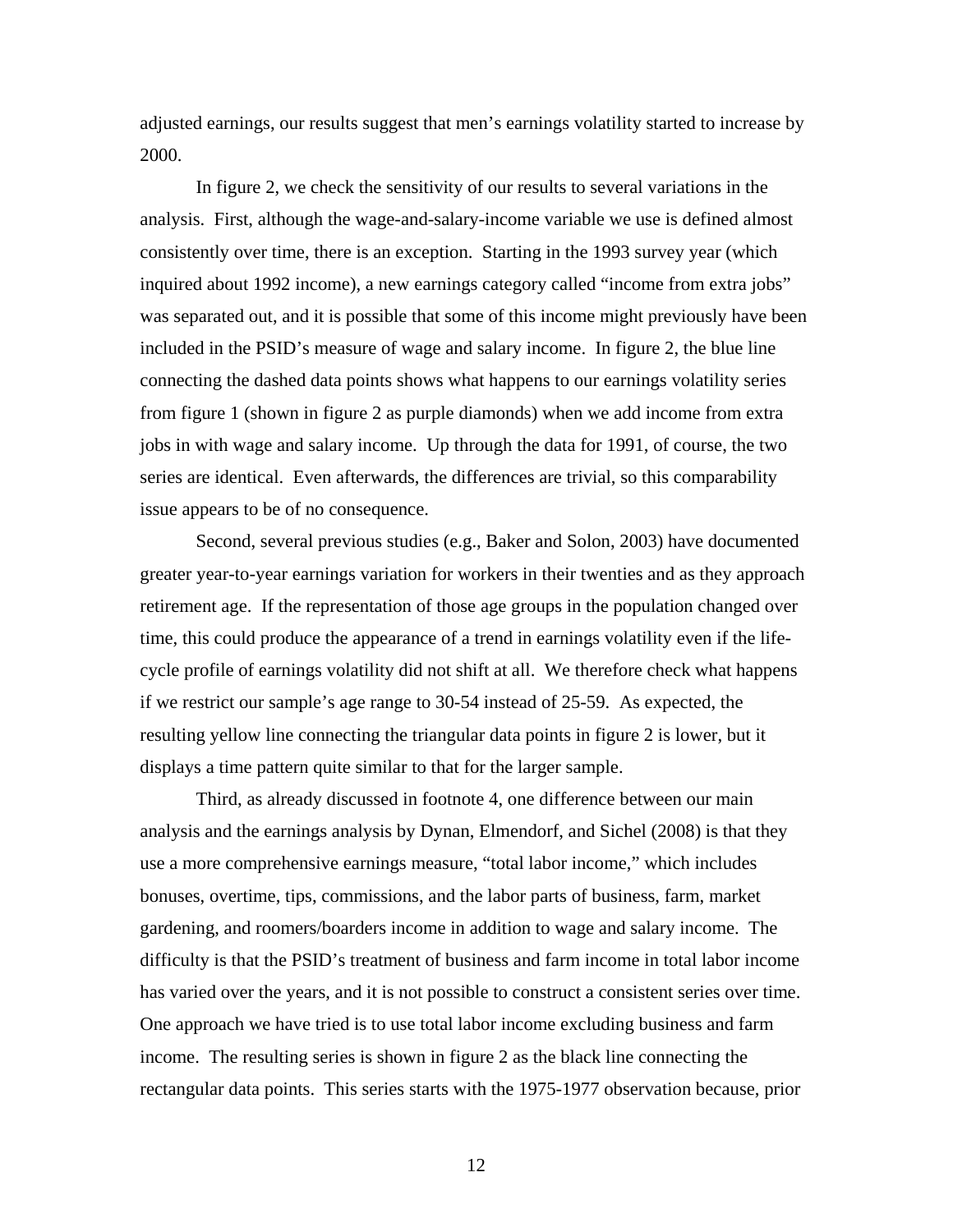adjusted earnings, our results suggest that men's earnings volatility started to increase by 2000.

In figure 2, we check the sensitivity of our results to several variations in the analysis. First, although the wage-and-salary-income variable we use is defined almost consistently over time, there is an exception. Starting in the 1993 survey year (which inquired about 1992 income), a new earnings category called "income from extra jobs" was separated out, and it is possible that some of this income might previously have been included in the PSID's measure of wage and salary income. In figure 2, the blue line connecting the dashed data points shows what happens to our earnings volatility series from figure 1 (shown in figure 2 as purple diamonds) when we add income from extra jobs in with wage and salary income. Up through the data for 1991, of course, the two series are identical. Even afterwards, the differences are trivial, so this comparability issue appears to be of no consequence.

Second, several previous studies (e.g., Baker and Solon, 2003) have documented greater year-to-year earnings variation for workers in their twenties and as they approach retirement age. If the representation of those age groups in the population changed over time, this could produce the appearance of a trend in earnings volatility even if the lifecycle profile of earnings volatility did not shift at all. We therefore check what happens if we restrict our sample's age range to 30-54 instead of 25-59. As expected, the resulting yellow line connecting the triangular data points in figure 2 is lower, but it displays a time pattern quite similar to that for the larger sample.

Third, as already discussed in footnote 4, one difference between our main analysis and the earnings analysis by Dynan, Elmendorf, and Sichel (2008) is that they use a more comprehensive earnings measure, "total labor income," which includes bonuses, overtime, tips, commissions, and the labor parts of business, farm, market gardening, and roomers/boarders income in addition to wage and salary income. The difficulty is that the PSID's treatment of business and farm income in total labor income has varied over the years, and it is not possible to construct a consistent series over time. One approach we have tried is to use total labor income excluding business and farm income. The resulting series is shown in figure 2 as the black line connecting the rectangular data points. This series starts with the 1975-1977 observation because, prior

12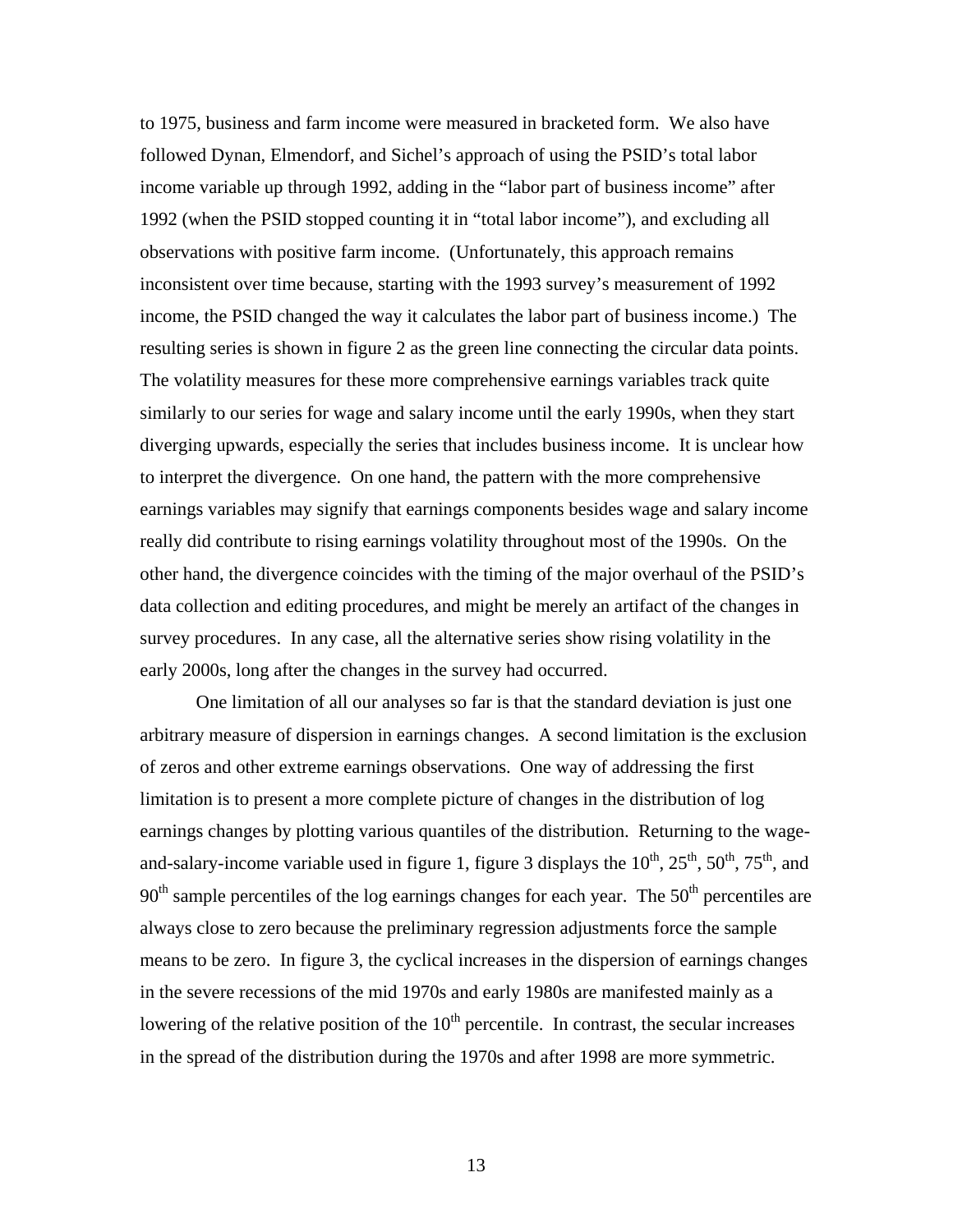to 1975, business and farm income were measured in bracketed form. We also have followed Dynan, Elmendorf, and Sichel's approach of using the PSID's total labor income variable up through 1992, adding in the "labor part of business income" after 1992 (when the PSID stopped counting it in "total labor income"), and excluding all observations with positive farm income. (Unfortunately, this approach remains inconsistent over time because, starting with the 1993 survey's measurement of 1992 income, the PSID changed the way it calculates the labor part of business income.) The resulting series is shown in figure 2 as the green line connecting the circular data points. The volatility measures for these more comprehensive earnings variables track quite similarly to our series for wage and salary income until the early 1990s, when they start diverging upwards, especially the series that includes business income. It is unclear how to interpret the divergence. On one hand, the pattern with the more comprehensive earnings variables may signify that earnings components besides wage and salary income really did contribute to rising earnings volatility throughout most of the 1990s. On the other hand, the divergence coincides with the timing of the major overhaul of the PSID's data collection and editing procedures, and might be merely an artifact of the changes in survey procedures. In any case, all the alternative series show rising volatility in the early 2000s, long after the changes in the survey had occurred.

One limitation of all our analyses so far is that the standard deviation is just one arbitrary measure of dispersion in earnings changes. A second limitation is the exclusion of zeros and other extreme earnings observations. One way of addressing the first limitation is to present a more complete picture of changes in the distribution of log earnings changes by plotting various quantiles of the distribution. Returning to the wageand-salary-income variable used in figure 1, figure 3 displays the  $10^{th}$ ,  $25^{th}$ ,  $50^{th}$ ,  $75^{th}$ , and  $90<sup>th</sup>$  sample percentiles of the log earnings changes for each year. The  $50<sup>th</sup>$  percentiles are always close to zero because the preliminary regression adjustments force the sample means to be zero. In figure 3, the cyclical increases in the dispersion of earnings changes in the severe recessions of the mid 1970s and early 1980s are manifested mainly as a lowering of the relative position of the  $10<sup>th</sup>$  percentile. In contrast, the secular increases in the spread of the distribution during the 1970s and after 1998 are more symmetric.

13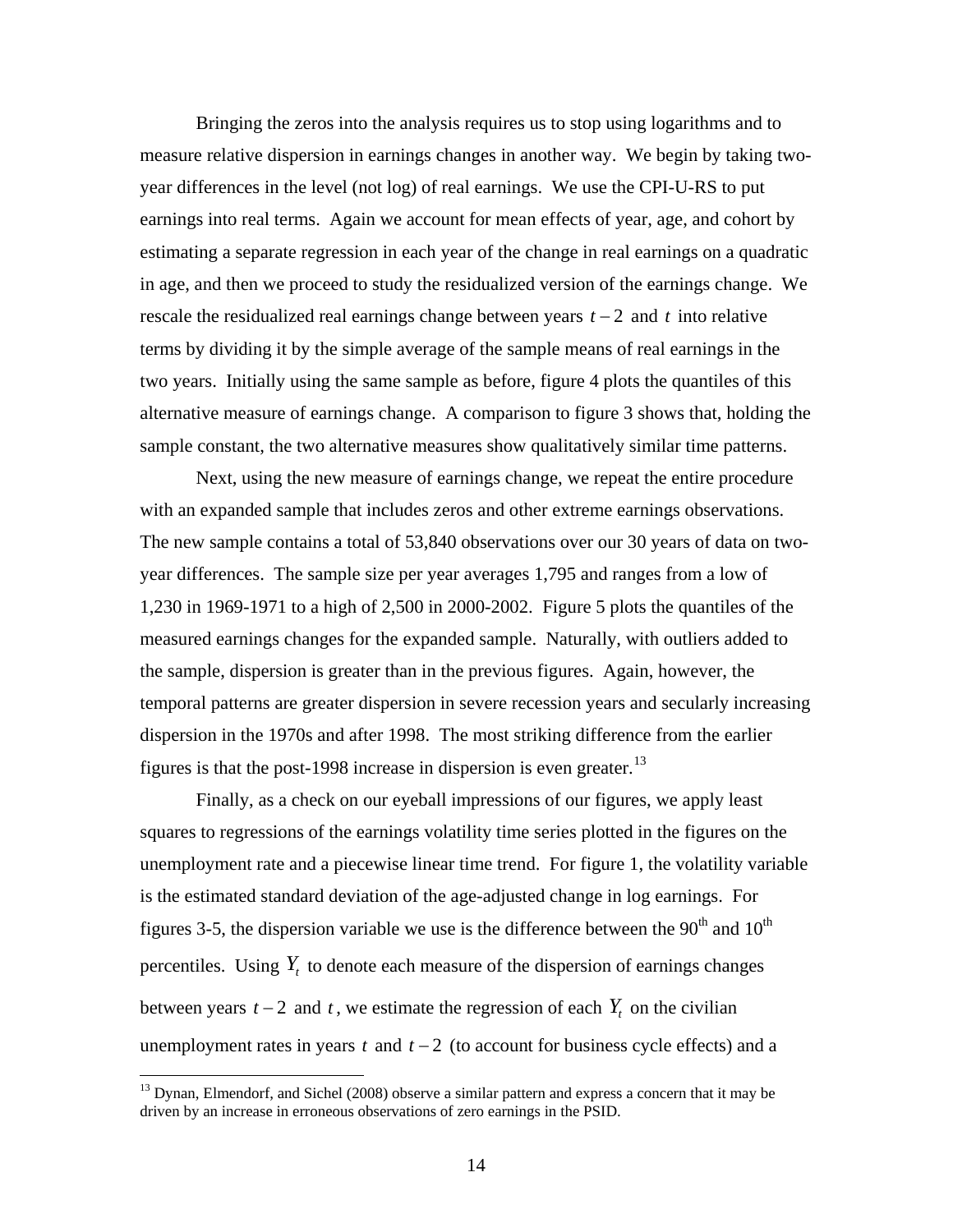<span id="page-14-0"></span>Bringing the zeros into the analysis requires us to stop using logarithms and to measure relative dispersion in earnings changes in another way. We begin by taking twoyear differences in the level (not log) of real earnings. We use the CPI-U-RS to put earnings into real terms. Again we account for mean effects of year, age, and cohort by estimating a separate regression in each year of the change in real earnings on a quadratic in age, and then we proceed to study the residualized version of the earnings change. We rescale the residualized real earnings change between years  $t - 2$  and  $t$  into relative terms by dividing it by the simple average of the sample means of real earnings in the two years. Initially using the same sample as before, figure 4 plots the quantiles of this alternative measure of earnings change. A comparison to figure 3 shows that, holding the sample constant, the two alternative measures show qualitatively similar time patterns.

Next, using the new measure of earnings change, we repeat the entire procedure with an expanded sample that includes zeros and other extreme earnings observations. The new sample contains a total of 53,840 observations over our 30 years of data on twoyear differences. The sample size per year averages 1,795 and ranges from a low of 1,230 in 1969-1971 to a high of 2,500 in 2000-2002. Figure 5 plots the quantiles of the measured earnings changes for the expanded sample. Naturally, with outliers added to the sample, dispersion is greater than in the previous figures. Again, however, the temporal patterns are greater dispersion in severe recession years and secularly increasing dispersion in the 1970s and after 1998. The most striking difference from the earlier figures is that the post-1998 increase in dispersion is even greater.<sup>[13](#page-14-0)</sup>

Finally, as a check on our eyeball impressions of our figures, we apply least squares to regressions of the earnings volatility time series plotted in the figures on the unemployment rate and a piecewise linear time trend. For figure 1, the volatility variable is the estimated standard deviation of the age-adjusted change in log earnings. For figures 3-5, the dispersion variable we use is the difference between the  $90<sup>th</sup>$  and  $10<sup>th</sup>$ percentiles. Using  $Y_t$  to denote each measure of the dispersion of earnings changes between years  $t - 2$  and  $t$ , we estimate the regression of each  $Y_t$  on the civilian unemployment rates in years  $t$  and  $t - 2$  (to account for business cycle effects) and a

<sup>&</sup>lt;sup>13</sup> Dynan, Elmendorf, and Sichel (2008) observe a similar pattern and express a concern that it may be driven by an increase in erroneous observations of zero earnings in the PSID.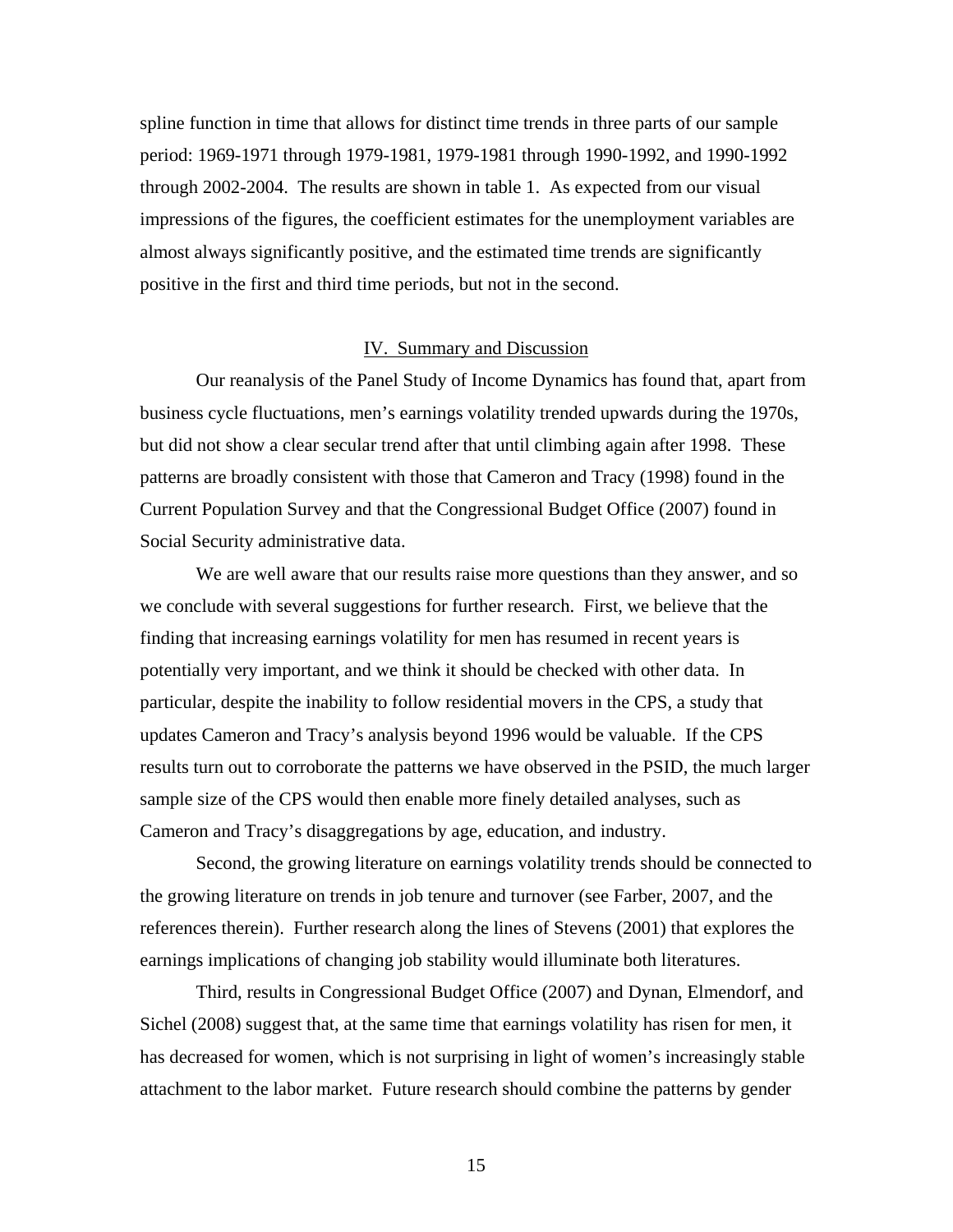spline function in time that allows for distinct time trends in three parts of our sample period: 1969-1971 through 1979-1981, 1979-1981 through 1990-1992, and 1990-1992 through 2002-2004. The results are shown in table 1. As expected from our visual impressions of the figures, the coefficient estimates for the unemployment variables are almost always significantly positive, and the estimated time trends are significantly positive in the first and third time periods, but not in the second.

#### IV. Summary and Discussion

Our reanalysis of the Panel Study of Income Dynamics has found that, apart from business cycle fluctuations, men's earnings volatility trended upwards during the 1970s, but did not show a clear secular trend after that until climbing again after 1998. These patterns are broadly consistent with those that Cameron and Tracy (1998) found in the Current Population Survey and that the Congressional Budget Office (2007) found in Social Security administrative data.

We are well aware that our results raise more questions than they answer, and so we conclude with several suggestions for further research. First, we believe that the finding that increasing earnings volatility for men has resumed in recent years is potentially very important, and we think it should be checked with other data. In particular, despite the inability to follow residential movers in the CPS, a study that updates Cameron and Tracy's analysis beyond 1996 would be valuable. If the CPS results turn out to corroborate the patterns we have observed in the PSID, the much larger sample size of the CPS would then enable more finely detailed analyses, such as Cameron and Tracy's disaggregations by age, education, and industry.

Second, the growing literature on earnings volatility trends should be connected to the growing literature on trends in job tenure and turnover (see Farber, 2007, and the references therein). Further research along the lines of Stevens (2001) that explores the earnings implications of changing job stability would illuminate both literatures.

Third, results in Congressional Budget Office (2007) and Dynan, Elmendorf, and Sichel (2008) suggest that, at the same time that earnings volatility has risen for men, it has decreased for women, which is not surprising in light of women's increasingly stable attachment to the labor market. Future research should combine the patterns by gender

15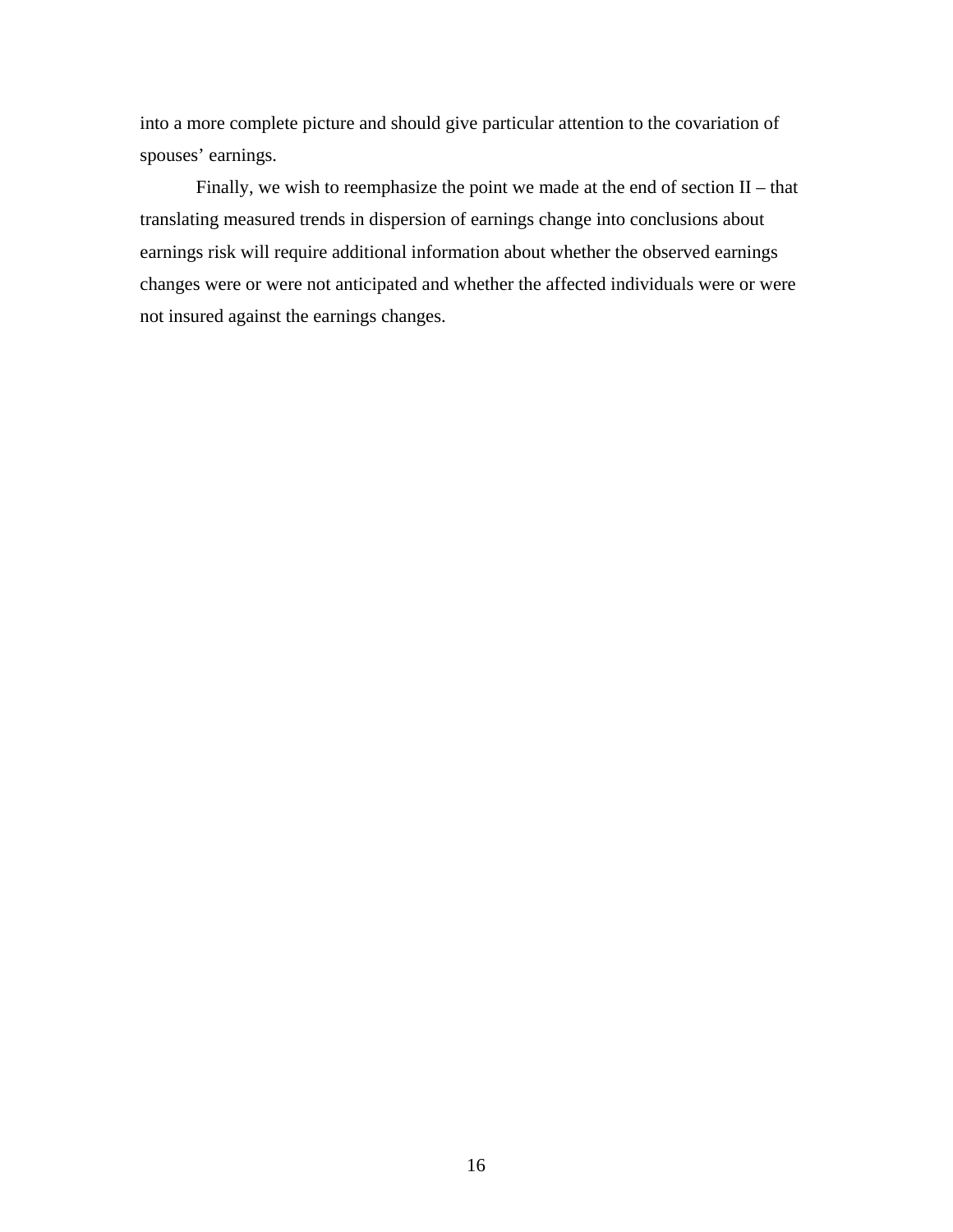into a more complete picture and should give particular attention to the covariation of spouses' earnings.

Finally, we wish to reemphasize the point we made at the end of section II – that translating measured trends in dispersion of earnings change into conclusions about earnings risk will require additional information about whether the observed earnings changes were or were not anticipated and whether the affected individuals were or were not insured against the earnings changes.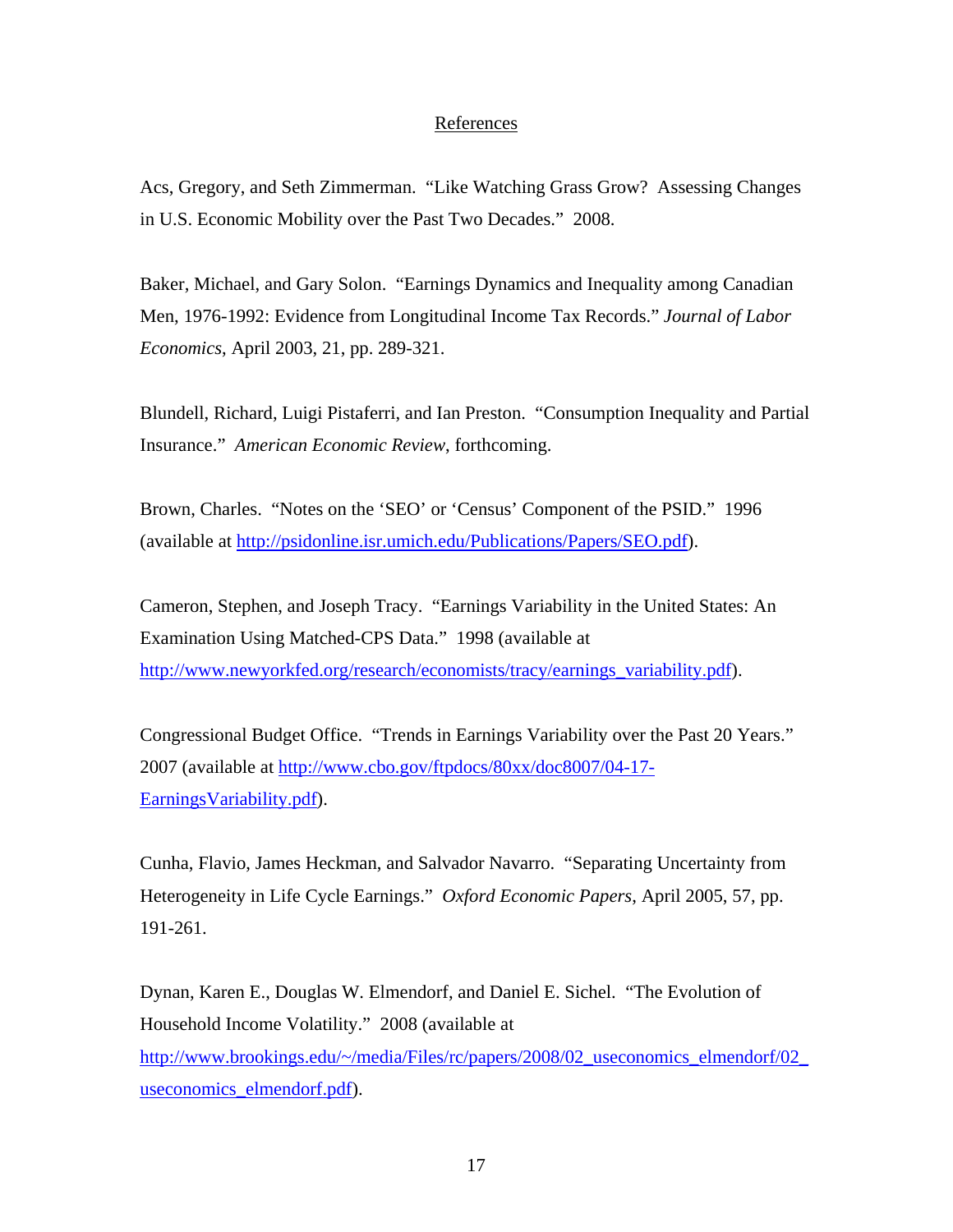# References

Acs, Gregory, and Seth Zimmerman. "Like Watching Grass Grow? Assessing Changes in U.S. Economic Mobility over the Past Two Decades." 2008.

Baker, Michael, and Gary Solon. "Earnings Dynamics and Inequality among Canadian Men, 1976-1992: Evidence from Longitudinal Income Tax Records." *Journal of Labor Economics*, April 2003, 21, pp. 289-321.

Blundell, Richard, Luigi Pistaferri, and Ian Preston. "Consumption Inequality and Partial Insurance." *American Economic Review*, forthcoming.

Brown, Charles. "Notes on the 'SEO' or 'Census' Component of the PSID." 1996 (available at [http://psidonline.isr.umich.edu/Publications/Papers/SEO.pdf\)](http://psidonline.isr.umich.edu/Publications/Papers/SEO.pdf).

Cameron, Stephen, and Joseph Tracy. "Earnings Variability in the United States: An Examination Using Matched-CPS Data." 1998 (available at [http://www.newyorkfed.org/research/economists/tracy/earnings\\_variability.pdf](http://www.newyorkfed.org/research/economists/tracy/earnings_variability.pdf)).

Congressional Budget Office. "Trends in Earnings Variability over the Past 20 Years." 2007 (available at [http://www.cbo.gov/ftpdocs/80xx/doc8007/04-17-](http://www.cbo.gov/ftpdocs/80xx/doc8007/04-17-EarningsVariability.pdf) [EarningsVariability.pdf\)](http://www.cbo.gov/ftpdocs/80xx/doc8007/04-17-EarningsVariability.pdf).

Cunha, Flavio, James Heckman, and Salvador Navarro. "Separating Uncertainty from Heterogeneity in Life Cycle Earnings." *Oxford Economic Papers*, April 2005, 57, pp. 191-261.

Dynan, Karen E., Douglas W. Elmendorf, and Daniel E. Sichel. "The Evolution of Household Income Volatility." 2008 (available at http://www.brookings.edu/~/media/Files/rc/papers/2008/02\_useconomics\_elmendorf/02 [useconomics\\_elmendorf.pdf](http://www.brookings.edu/%7E/media/Files/rc/papers/2008/02_useconomics_elmendorf/02_useconomics_elmendorf.pdf)).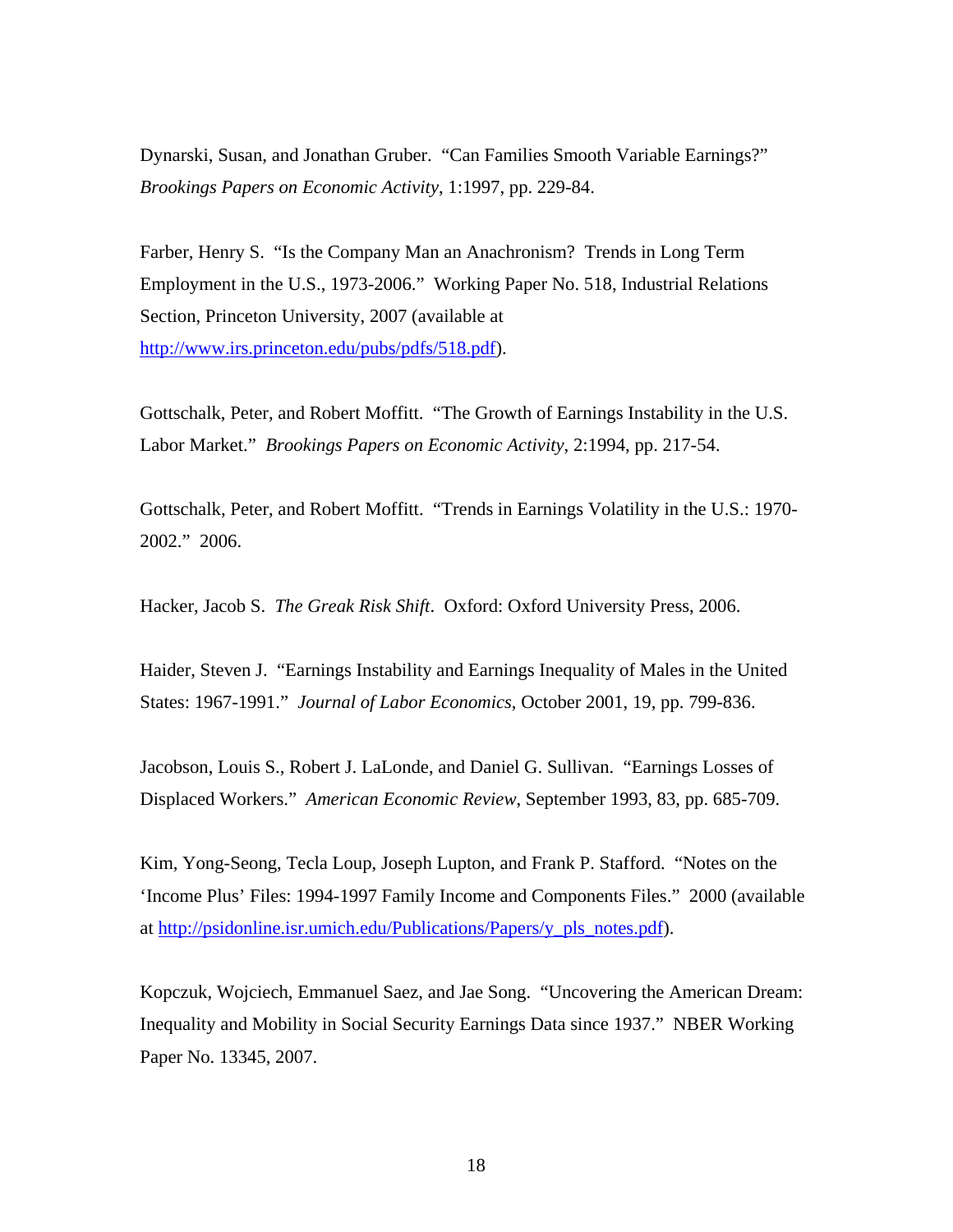Dynarski, Susan, and Jonathan Gruber. "Can Families Smooth Variable Earnings?" *Brookings Papers on Economic Activity*, 1:1997, pp. 229-84.

Farber, Henry S. "Is the Company Man an Anachronism? Trends in Long Term Employment in the U.S., 1973-2006." Working Paper No. 518, Industrial Relations Section, Princeton University, 2007 (available at [http://www.irs.princeton.edu/pubs/pdfs/518.pdf\)](http://www.irs.princeton.edu/pubs/pdfs/518.pdf).

Gottschalk, Peter, and Robert Moffitt. "The Growth of Earnings Instability in the U.S. Labor Market." *Brookings Papers on Economic Activity*, 2:1994, pp. 217-54.

Gottschalk, Peter, and Robert Moffitt. "Trends in Earnings Volatility in the U.S.: 1970- 2002." 2006.

Hacker, Jacob S. *The Greak Risk Shift*. Oxford: Oxford University Press, 2006.

Haider, Steven J. "Earnings Instability and Earnings Inequality of Males in the United States: 1967-1991." *Journal of Labor Economics*, October 2001, 19, pp. 799-836.

Jacobson, Louis S., Robert J. LaLonde, and Daniel G. Sullivan. "Earnings Losses of Displaced Workers." *American Economic Review*, September 1993, 83, pp. 685-709.

Kim, Yong-Seong, Tecla Loup, Joseph Lupton, and Frank P. Stafford. "Notes on the 'Income Plus' Files: 1994-1997 Family Income and Components Files." 2000 (available at [http://psidonline.isr.umich.edu/Publications/Papers/y\\_pls\\_notes.pdf](http://psidonline.isr.umich.edu/Publications/Papers/y_pls_notes.pdf)).

Kopczuk, Wojciech, Emmanuel Saez, and Jae Song. "Uncovering the American Dream: Inequality and Mobility in Social Security Earnings Data since 1937." NBER Working Paper No. 13345, 2007.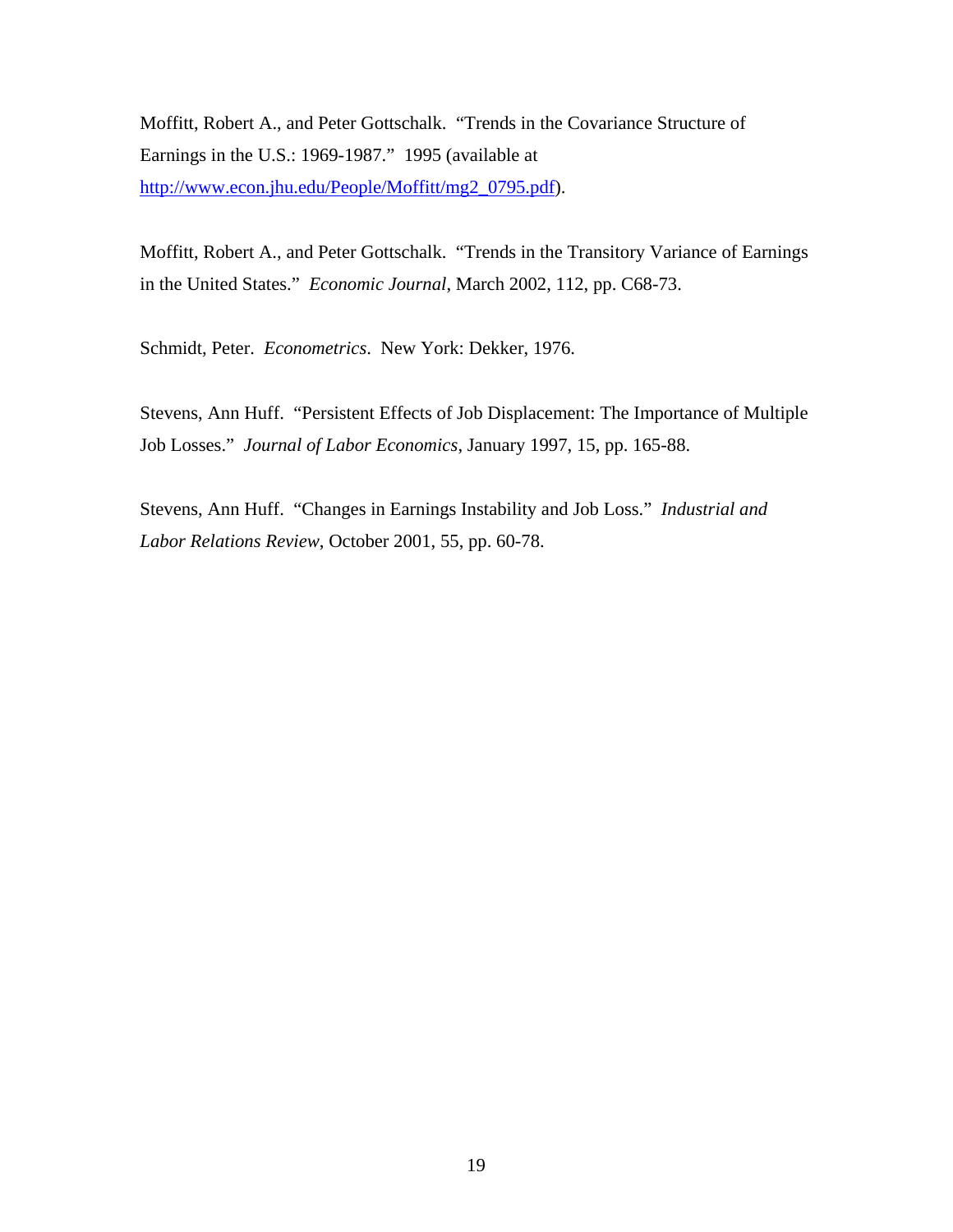Moffitt, Robert A., and Peter Gottschalk. "Trends in the Covariance Structure of Earnings in the U.S.: 1969-1987." 1995 (available at [http://www.econ.jhu.edu/People/Moffitt/mg2\\_0795.pdf\)](http://www.econ.jhu.edu/People/Moffitt/mg2_0795.pdf).

Moffitt, Robert A., and Peter Gottschalk. "Trends in the Transitory Variance of Earnings in the United States." *Economic Journal*, March 2002, 112, pp. C68-73.

Schmidt, Peter. *Econometrics*. New York: Dekker, 1976.

Stevens, Ann Huff. "Persistent Effects of Job Displacement: The Importance of Multiple Job Losses." *Journal of Labor Economics*, January 1997, 15, pp. 165-88.

Stevens, Ann Huff. "Changes in Earnings Instability and Job Loss." *Industrial and Labor Relations Review*, October 2001, 55, pp. 60-78.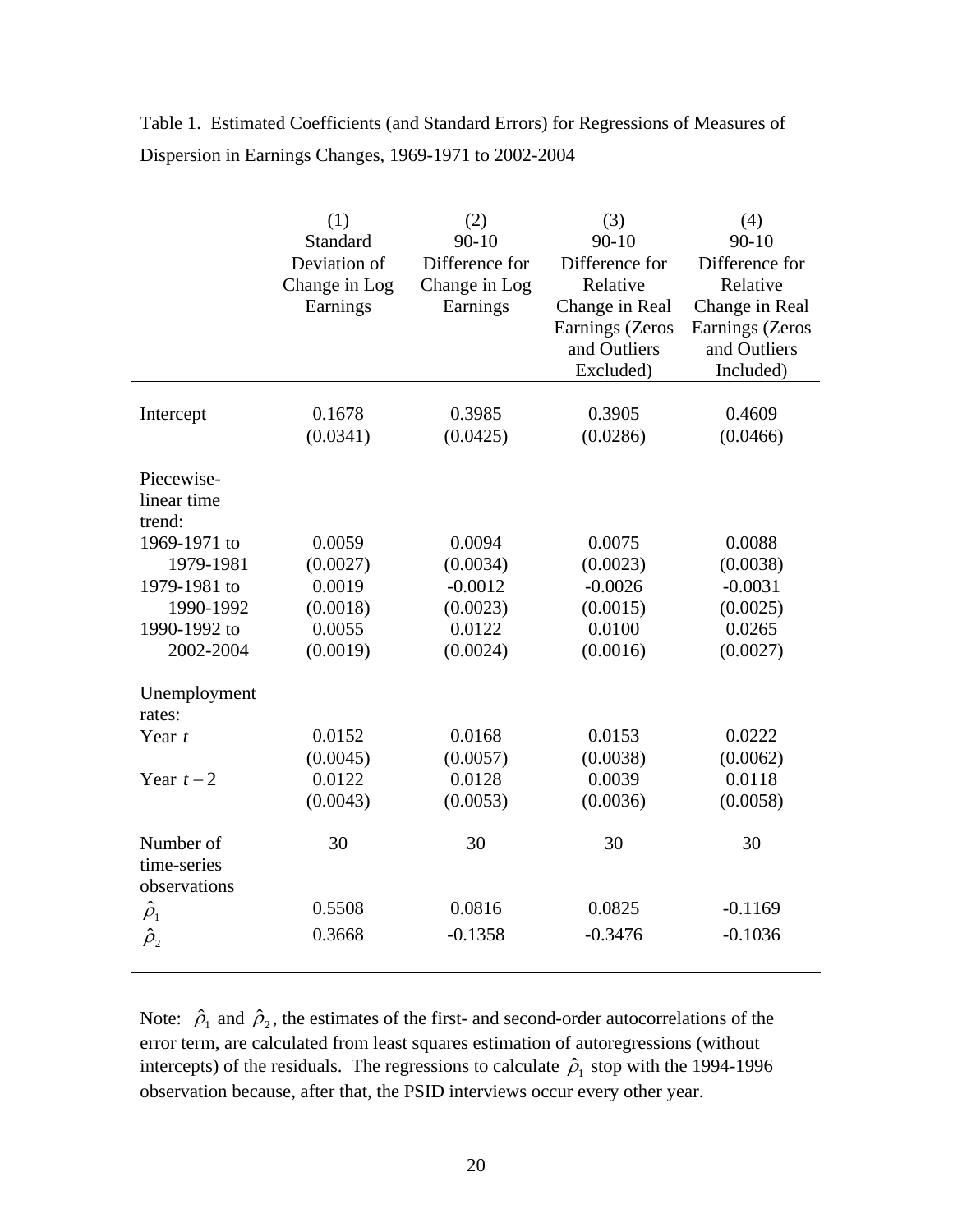|                | (1)           | (2)            | (3)             | (4)             |
|----------------|---------------|----------------|-----------------|-----------------|
|                | Standard      | $90 - 10$      | $90 - 10$       | $90 - 10$       |
|                | Deviation of  | Difference for | Difference for  | Difference for  |
|                | Change in Log | Change in Log  | Relative        | Relative        |
|                | Earnings      | Earnings       | Change in Real  | Change in Real  |
|                |               |                | Earnings (Zeros | Earnings (Zeros |
|                |               |                | and Outliers    | and Outliers    |
|                |               |                | Excluded)       | Included)       |
|                |               |                |                 |                 |
| Intercept      | 0.1678        | 0.3985         | 0.3905          | 0.4609          |
|                | (0.0341)      | (0.0425)       | (0.0286)        | (0.0466)        |
|                |               |                |                 |                 |
| Piecewise-     |               |                |                 |                 |
| linear time    |               |                |                 |                 |
| trend:         |               |                |                 |                 |
| 1969-1971 to   | 0.0059        | 0.0094         | 0.0075          | 0.0088          |
| 1979-1981      | (0.0027)      | (0.0034)       | (0.0023)        | (0.0038)        |
| 1979-1981 to   | 0.0019        | $-0.0012$      | $-0.0026$       | $-0.0031$       |
| 1990-1992      | (0.0018)      | (0.0023)       | (0.0015)        | (0.0025)        |
| 1990-1992 to   | 0.0055        | 0.0122         | 0.0100          | 0.0265          |
| 2002-2004      | (0.0019)      | (0.0024)       | (0.0016)        | (0.0027)        |
|                |               |                |                 |                 |
| Unemployment   |               |                |                 |                 |
| rates:         |               |                |                 |                 |
| Year $t$       | 0.0152        | 0.0168         | 0.0153          | 0.0222          |
|                | (0.0045)      | (0.0057)       | (0.0038)        | (0.0062)        |
| Year $t-2$     | 0.0122        | 0.0128         | 0.0039          | 0.0118          |
|                | (0.0043)      | (0.0053)       | (0.0036)        | (0.0058)        |
|                |               |                |                 |                 |
| Number of      | 30            | 30             | 30              | 30              |
| time-series    |               |                |                 |                 |
| observations   |               |                |                 |                 |
| $\hat{\rho}_1$ | 0.5508        | 0.0816         | 0.0825          | $-0.1169$       |
|                | 0.3668        | $-0.1358$      | $-0.3476$       | $-0.1036$       |
| $\hat{\rho}_2$ |               |                |                 |                 |
|                |               |                |                 |                 |

Table 1. Estimated Coefficients (and Standard Errors) for Regressions of Measures of Dispersion in Earnings Changes, 1969-1971 to 2002-2004

Note:  $\hat{\rho}_1$  and  $\hat{\rho}_2$ , the estimates of the first- and second-order autocorrelations of the error term, are calculated from least squares estimation of autoregressions (without intercepts) of the residuals. The regressions to calculate  $\hat{\rho}_1$  stop with the 1994-1996 observation because, after that, the PSID interviews occur every other year.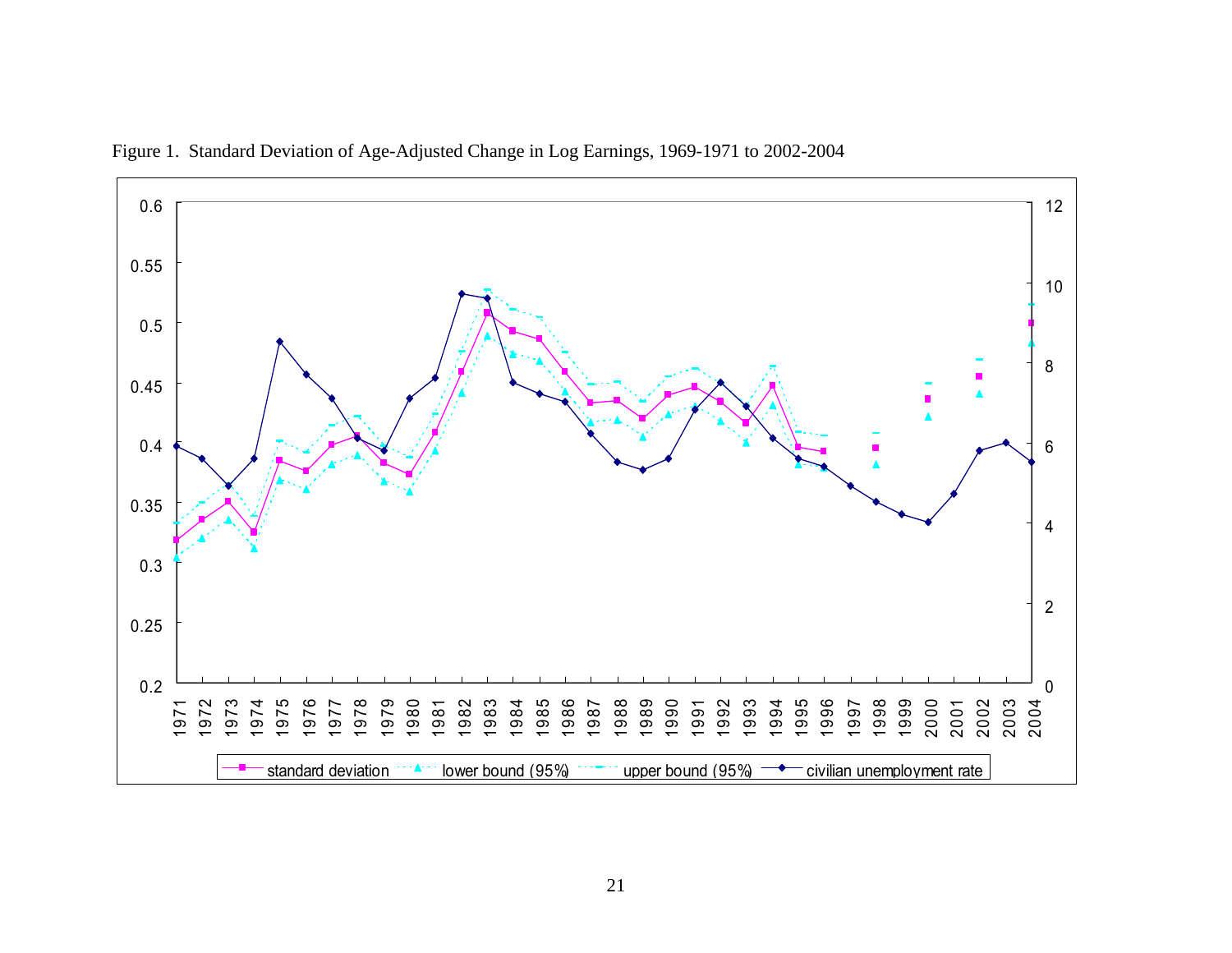

Figure 1. Standard Deviation of Age-Adjusted Change in Log Earnings, 1969-1971 to 2002-2004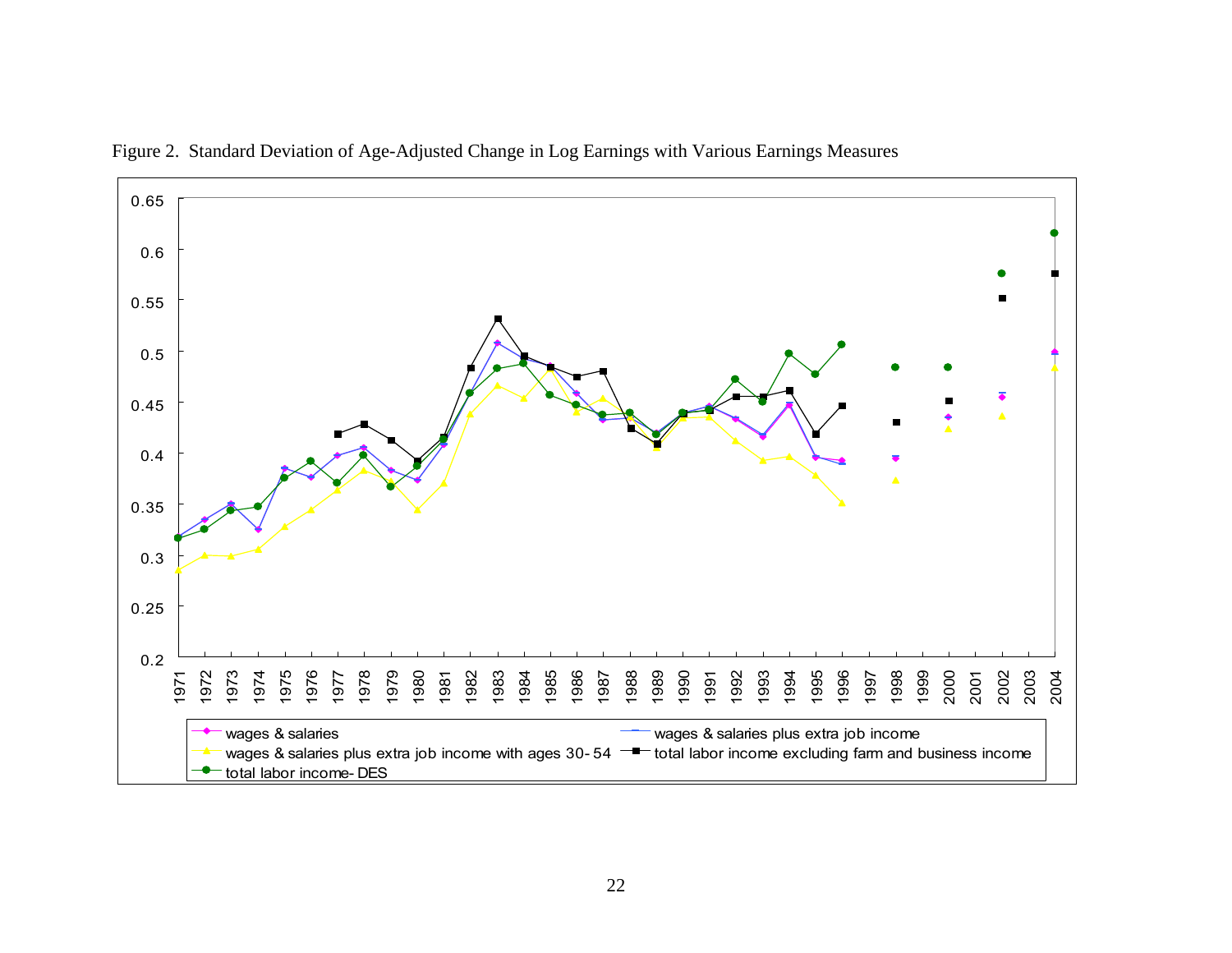

Figure 2. Standard Deviation of Age-Adjusted Change in Log Earnings with Various Earnings Measures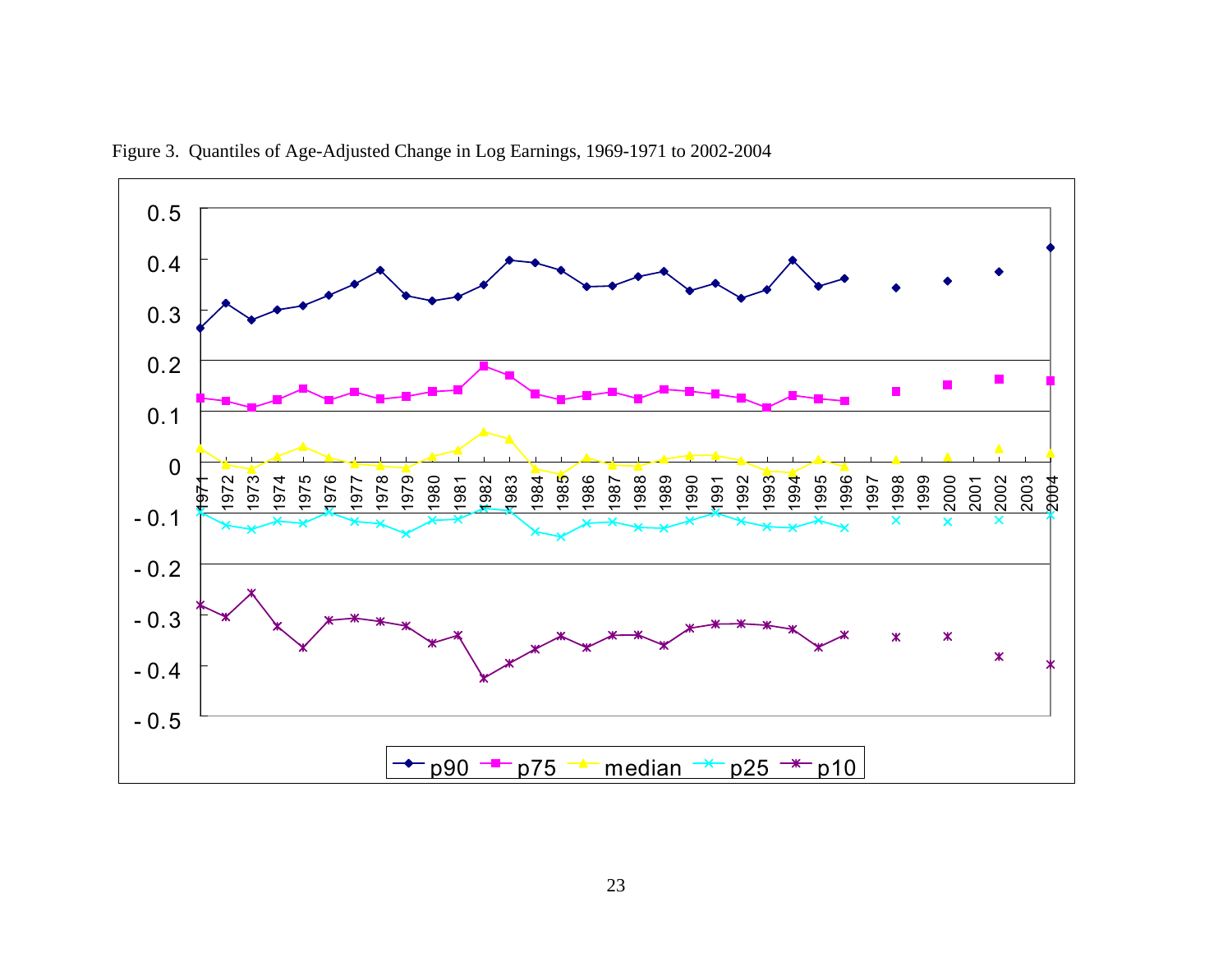

Figure 3. Quantiles of Age-Adjusted Change in Log Earnings, 1969-1971 to 2002-2004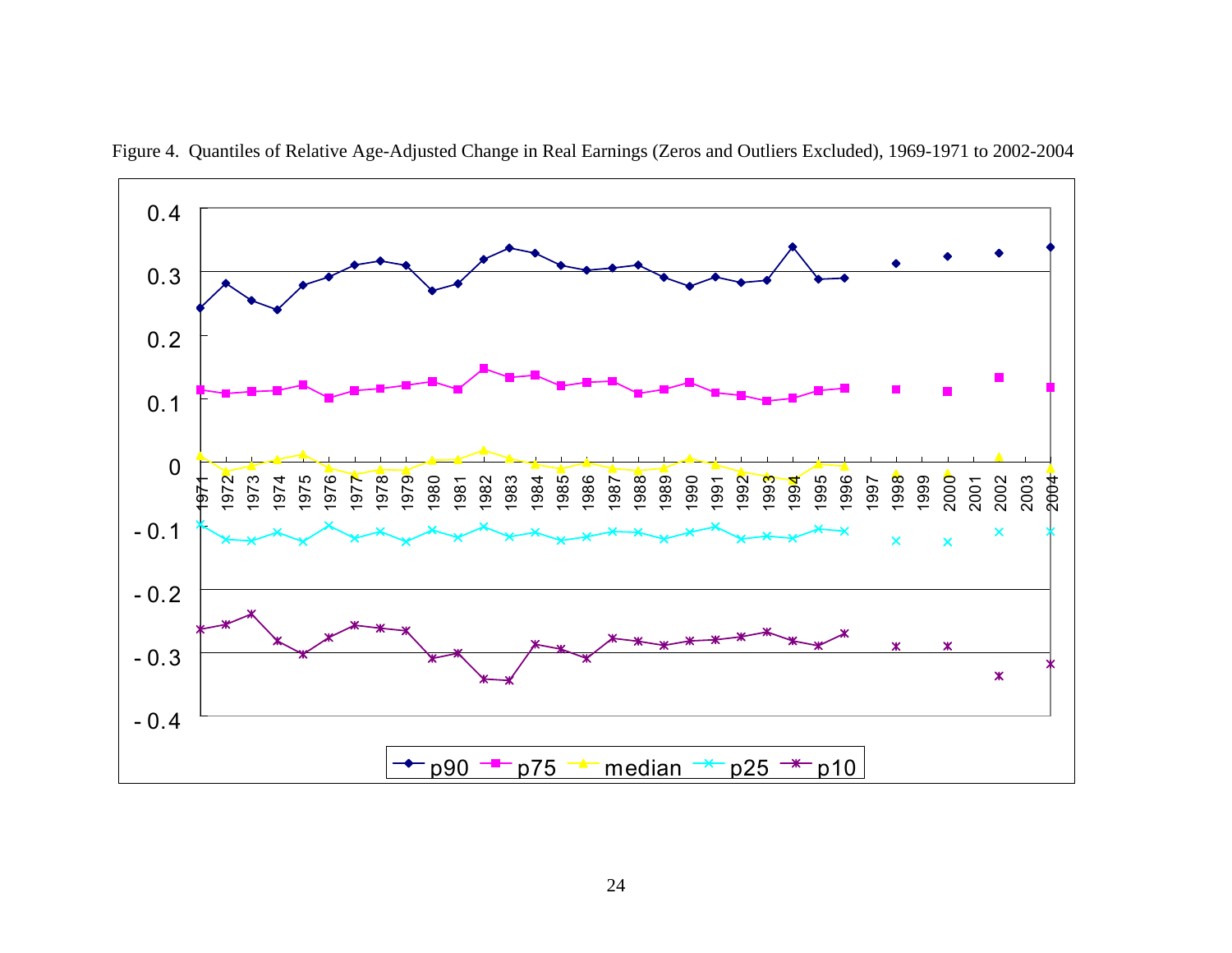

Figure 4. Quantiles of Relative Age-Adjusted Change in Real Earnings (Zeros and Outliers Excluded), 1969-1971 to 2002-2004